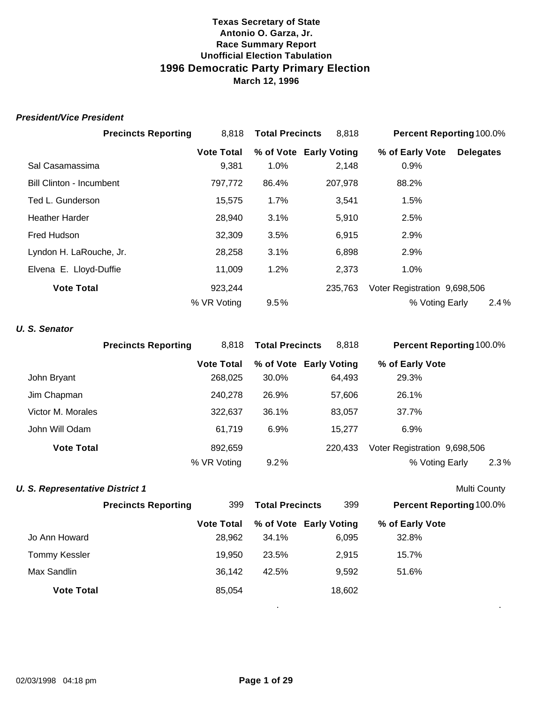#### *President/Vice President*

| <b>Precincts Reporting</b>      | 8,818             | <b>Total Precincts</b> | 8,818                  | Percent Reporting 100.0%     |                  |
|---------------------------------|-------------------|------------------------|------------------------|------------------------------|------------------|
|                                 | <b>Vote Total</b> |                        | % of Vote Early Voting | % of Early Vote              | <b>Delegates</b> |
| Sal Casamassima                 | 9,381             | 1.0%                   | 2,148                  | 0.9%                         |                  |
| <b>Bill Clinton - Incumbent</b> | 797,772           | 86.4%                  | 207,978                | 88.2%                        |                  |
| Ted L. Gunderson                | 15,575            | 1.7%                   | 3,541                  | 1.5%                         |                  |
| <b>Heather Harder</b>           | 28,940            | 3.1%                   | 5,910                  | 2.5%                         |                  |
| Fred Hudson                     | 32,309            | 3.5%                   | 6,915                  | 2.9%                         |                  |
| Lyndon H. LaRouche, Jr.         | 28,258            | 3.1%                   | 6,898                  | 2.9%                         |                  |
| Elvena E. Lloyd-Duffie          | 11,009            | 1.2%                   | 2,373                  | $1.0\%$                      |                  |
| <b>Vote Total</b>               | 923,244           |                        | 235,763                | Voter Registration 9,698,506 |                  |
|                                 | % VR Voting       | 9.5%                   |                        | % Voting Early               | 2.4%             |

# *U. S. Senator*

|                   | <b>Precincts Reporting</b> | 8.818             | <b>Total Precincts</b> | 8,818                  | <b>Percent Reporting 100.0%</b> |  |
|-------------------|----------------------------|-------------------|------------------------|------------------------|---------------------------------|--|
|                   |                            | <b>Vote Total</b> |                        | % of Vote Early Voting | % of Early Vote                 |  |
| John Bryant       |                            | 268,025           | 30.0%                  | 64,493                 | 29.3%                           |  |
| Jim Chapman       |                            | 240.278           | 26.9%                  | 57,606                 | 26.1%                           |  |
| Victor M. Morales |                            | 322,637           | 36.1%                  | 83,057                 | 37.7%                           |  |
| John Will Odam    |                            | 61.719            | 6.9%                   | 15.277                 | $6.9\%$                         |  |
| <b>Vote Total</b> |                            | 892,659           |                        | 220.433                | Voter Registration 9,698,506    |  |
|                   |                            | % VR Voting       | $9.2\%$                |                        | 2.3%<br>% Voting Early          |  |

#### **U. S. Representative District 1** Multi County

|                      | <b>Precincts Reporting</b><br>399 |                   | <b>Total Precincts</b> | 399                    | <b>Percent Reporting 100.0%</b> |  |
|----------------------|-----------------------------------|-------------------|------------------------|------------------------|---------------------------------|--|
|                      |                                   | <b>Vote Total</b> |                        | % of Vote Early Voting | % of Early Vote                 |  |
| Jo Ann Howard        |                                   | 28,962            | 34.1%                  | 6,095                  | 32.8%                           |  |
| <b>Tommy Kessler</b> |                                   | 19,950            | 23.5%                  | 2,915                  | 15.7%                           |  |
| Max Sandlin          |                                   | 36,142            | 42.5%                  | 9,592                  | 51.6%                           |  |
| <b>Vote Total</b>    |                                   | 85,054            |                        | 18,602                 |                                 |  |
|                      |                                   |                   |                        |                        |                                 |  |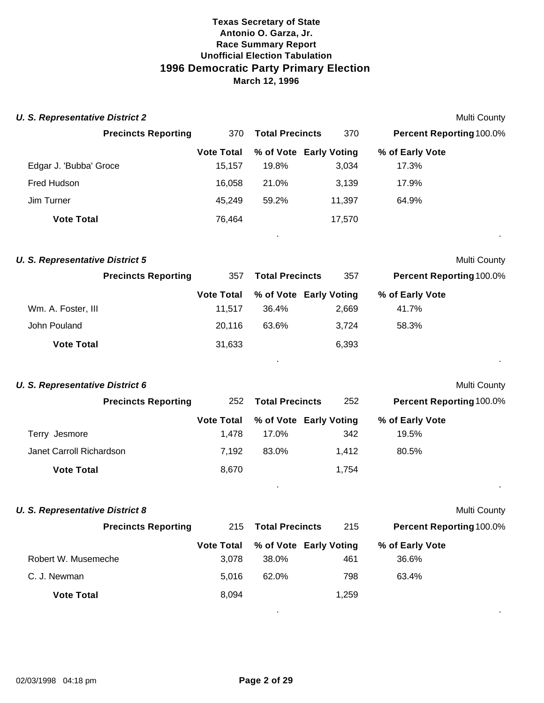| <b>U. S. Representative District 2</b> |                             |                        |                                 |                          | Multi County |
|----------------------------------------|-----------------------------|------------------------|---------------------------------|--------------------------|--------------|
| <b>Precincts Reporting</b>             | 370                         | <b>Total Precincts</b> | 370                             | Percent Reporting 100.0% |              |
| Edgar J. 'Bubba' Groce                 | <b>Vote Total</b><br>15,157 | 19.8%                  | % of Vote Early Voting<br>3,034 | % of Early Vote<br>17.3% |              |
| Fred Hudson                            | 16,058                      | 21.0%                  | 3,139                           | 17.9%                    |              |
| Jim Turner                             | 45,249                      | 59.2%                  | 11,397                          | 64.9%                    |              |
| <b>Vote Total</b>                      | 76,464                      |                        | 17,570                          |                          |              |
| <b>U. S. Representative District 5</b> |                             |                        |                                 |                          | Multi County |
| <b>Precincts Reporting</b>             | 357                         | <b>Total Precincts</b> | 357                             | Percent Reporting 100.0% |              |
|                                        | <b>Vote Total</b>           |                        | % of Vote Early Voting          | % of Early Vote          |              |
| Wm. A. Foster, III                     | 11,517                      | 36.4%                  | 2,669                           | 41.7%                    |              |
| John Pouland                           | 20,116                      | 63.6%                  | 3,724                           | 58.3%                    |              |
| <b>Vote Total</b>                      | 31,633                      |                        | 6,393                           |                          |              |
|                                        |                             |                        |                                 |                          |              |
| <b>U. S. Representative District 6</b> |                             |                        |                                 |                          | Multi County |
| <b>Precincts Reporting</b>             | 252                         | <b>Total Precincts</b> | 252                             | Percent Reporting 100.0% |              |
| Terry Jesmore                          | <b>Vote Total</b><br>1,478  | 17.0%                  | % of Vote Early Voting<br>342   | % of Early Vote<br>19.5% |              |
| Janet Carroll Richardson               | 7,192                       | 83.0%                  | 1,412                           | 80.5%                    |              |
| <b>Vote Total</b>                      | 8,670                       |                        | 1,754                           |                          |              |
|                                        |                             |                        |                                 |                          |              |
| <b>U. S. Representative District 8</b> |                             |                        |                                 |                          | Multi County |
| <b>Precincts Reporting</b>             | 215                         | <b>Total Precincts</b> | 215                             | Percent Reporting 100.0% |              |
|                                        | <b>Vote Total</b>           |                        | % of Vote Early Voting          | % of Early Vote          |              |
| Robert W. Musemeche                    | 3,078                       | 38.0%                  | 461                             | 36.6%                    |              |
| C. J. Newman                           | 5,016                       | 62.0%                  | 798                             | 63.4%                    |              |
| <b>Vote Total</b>                      | 8,094                       |                        | 1,259                           |                          |              |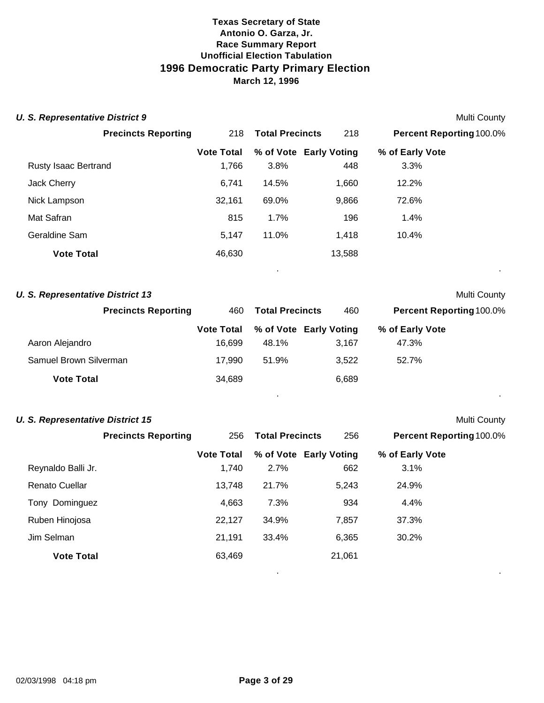| <b>U. S. Representative District 9</b>  |                   |                        |                        |                                 | <b>Multi County</b> |
|-----------------------------------------|-------------------|------------------------|------------------------|---------------------------------|---------------------|
| <b>Precincts Reporting</b>              | 218               | <b>Total Precincts</b> | 218                    | <b>Percent Reporting 100.0%</b> |                     |
|                                         | <b>Vote Total</b> |                        | % of Vote Early Voting | % of Early Vote                 |                     |
| Rusty Isaac Bertrand                    | 1,766             | 3.8%                   | 448                    | 3.3%                            |                     |
| Jack Cherry                             | 6,741             | 14.5%                  | 1,660                  | 12.2%                           |                     |
| Nick Lampson                            | 32,161            | 69.0%                  | 9,866                  | 72.6%                           |                     |
| Mat Safran                              | 815               | 1.7%                   | 196                    | 1.4%                            |                     |
| Geraldine Sam                           | 5,147             | 11.0%                  | 1,418                  | 10.4%                           |                     |
| <b>Vote Total</b>                       | 46,630            |                        | 13,588                 |                                 |                     |
|                                         |                   |                        |                        |                                 | . .                 |
| <b>U. S. Representative District 13</b> |                   |                        |                        |                                 | <b>Multi County</b> |

| <b>Precincts Reporting</b> | 460               | <b>Total Precincts</b> | 460                    | <b>Percent Reporting 100.0%</b> |
|----------------------------|-------------------|------------------------|------------------------|---------------------------------|
|                            | <b>Vote Total</b> |                        | % of Vote Early Voting | % of Early Vote                 |
| Aaron Alejandro            | 16.699            | 48.1%                  | 3.167                  | 47.3%                           |
| Samuel Brown Silverman     | 17.990            | 51.9%                  | 3,522                  | 52.7%                           |
| <b>Vote Total</b>          | 34,689            |                        | 6,689                  |                                 |

|  | <b>U. S. Representative District 15</b> |  |
|--|-----------------------------------------|--|
|  |                                         |  |

**Multi County** 

. .

|                       | <b>Precincts Reporting</b> | 256               | <b>Total Precincts</b> | 256                    | <b>Percent Reporting 100.0%</b> |  |
|-----------------------|----------------------------|-------------------|------------------------|------------------------|---------------------------------|--|
|                       |                            | <b>Vote Total</b> |                        | % of Vote Early Voting | % of Early Vote                 |  |
| Reynaldo Balli Jr.    |                            | 1,740             | 2.7%                   | 662                    | 3.1%                            |  |
| <b>Renato Cuellar</b> |                            | 13,748            | 21.7%                  | 5,243                  | 24.9%                           |  |
| Tony Dominguez        |                            | 4,663             | 7.3%                   | 934                    | 4.4%                            |  |
| Ruben Hinojosa        |                            | 22,127            | 34.9%                  | 7,857                  | 37.3%                           |  |
| Jim Selman            |                            | 21,191            | 33.4%                  | 6,365                  | 30.2%                           |  |
| <b>Vote Total</b>     |                            | 63,469            |                        | 21,061                 |                                 |  |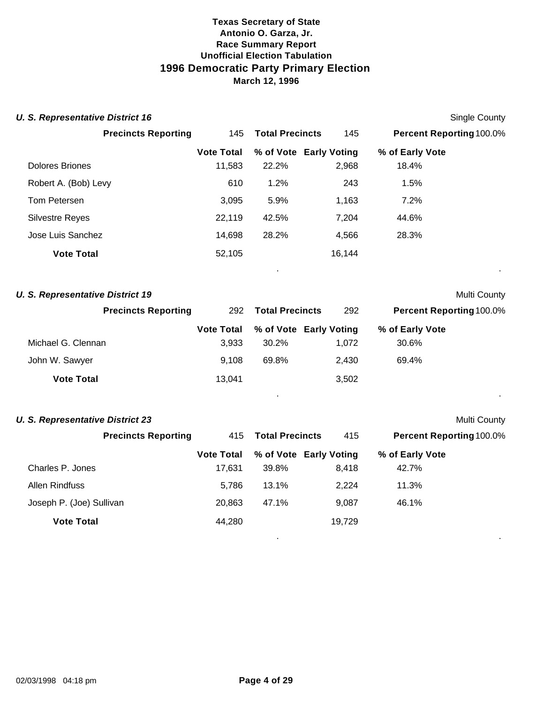| <b>U. S. Representative District 16</b> |                   |                        |        | Single County                   |  |
|-----------------------------------------|-------------------|------------------------|--------|---------------------------------|--|
| <b>Precincts Reporting</b>              | 145               | <b>Total Precincts</b> | 145    | Percent Reporting 100.0%        |  |
|                                         | <b>Vote Total</b> | % of Vote Early Voting |        | % of Early Vote                 |  |
| <b>Dolores Briones</b>                  | 11,583            | 22.2%                  | 2,968  | 18.4%                           |  |
| Robert A. (Bob) Levy                    | 610               | 1.2%                   | 243    | 1.5%                            |  |
| Tom Petersen                            | 3,095             | 5.9%                   | 1,163  | 7.2%                            |  |
| <b>Silvestre Reyes</b>                  | 22,119            | 42.5%                  | 7,204  | 44.6%                           |  |
| Jose Luis Sanchez                       | 14,698            | 28.2%                  | 4,566  | 28.3%                           |  |
| <b>Vote Total</b>                       | 52,105            |                        | 16,144 | $\bullet$                       |  |
| <b>U. S. Representative District 19</b> |                   |                        |        | Multi County                    |  |
| <b>Precincts Reporting</b>              | 292               | <b>Total Precincts</b> | 292    | <b>Percent Reporting 100.0%</b> |  |
|                                         | <b>Vote Total</b> | % of Vote Early Voting |        | % of Early Vote                 |  |
| Michael G. Clennan                      | 3,933             | 30.2%                  | 1,072  | 30.6%                           |  |
| John W. Sawyer                          | 9,108             | 69.8%                  | 2,430  | 69.4%                           |  |

. .

. .

| <b>U. S. Representative District 23</b><br><b>Multi County</b> |                            |                   |                        |  |       |                                 |  |  |
|----------------------------------------------------------------|----------------------------|-------------------|------------------------|--|-------|---------------------------------|--|--|
|                                                                | <b>Precincts Reporting</b> | 415               | <b>Total Precincts</b> |  | 415   | <b>Percent Reporting 100.0%</b> |  |  |
|                                                                |                            | <b>Vote Total</b> | % of Vote Early Voting |  |       | % of Early Vote                 |  |  |
| Charles P. Jones                                               |                            | 17.631            | 39.8%                  |  | 8.418 | 42.7%                           |  |  |
| Allen Rindfuss                                                 |                            | 5.786             | $13.1\%$               |  | 2.224 | 11.3%                           |  |  |
| Joseph P. (Joe) Sullivan                                       |                            | 20.863            | 47.1%                  |  | 9.087 | 46.1%                           |  |  |

**Vote Total** 13,041 3,502

**Vote Total 44,280** 19,729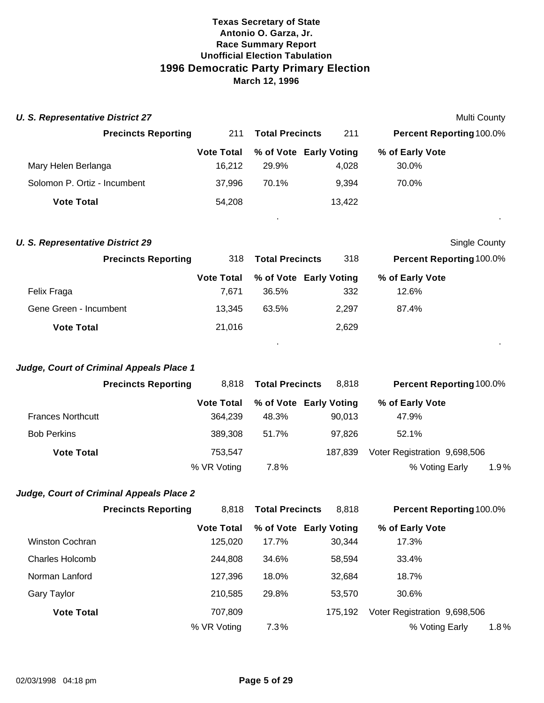| <b>U. S. Representative District 27</b> |                                          |                              |                                 |         | Multi County                                   |      |
|-----------------------------------------|------------------------------------------|------------------------------|---------------------------------|---------|------------------------------------------------|------|
|                                         | <b>Precincts Reporting</b>               | 211                          | <b>Total Precincts</b>          | 211     | <b>Percent Reporting 100.0%</b>                |      |
|                                         |                                          | <b>Vote Total</b>            | % of Vote Early Voting          |         | % of Early Vote                                |      |
| Mary Helen Berlanga                     |                                          | 16,212                       | 29.9%                           | 4,028   | 30.0%                                          |      |
| Solomon P. Ortiz - Incumbent            |                                          | 37,996                       | 70.1%                           | 9,394   | 70.0%                                          |      |
| <b>Vote Total</b>                       |                                          | 54,208                       |                                 | 13,422  |                                                |      |
| <b>U. S. Representative District 29</b> |                                          |                              |                                 |         | <b>Single County</b>                           |      |
|                                         | <b>Precincts Reporting</b>               | 318                          | <b>Total Precincts</b>          | 318     | Percent Reporting 100.0%                       |      |
| Felix Fraga                             |                                          | <b>Vote Total</b><br>7,671   | % of Vote Early Voting<br>36.5% | 332     | % of Early Vote<br>12.6%                       |      |
| Gene Green - Incumbent                  |                                          | 13,345                       | 63.5%                           | 2,297   | 87.4%                                          |      |
| <b>Vote Total</b>                       |                                          | 21,016                       |                                 | 2,629   |                                                |      |
|                                         | Judge, Court of Criminal Appeals Place 1 |                              |                                 |         |                                                |      |
|                                         | <b>Precincts Reporting</b>               | 8,818                        | <b>Total Precincts</b>          | 8,818   | Percent Reporting 100.0%                       |      |
| <b>Frances Northcutt</b>                |                                          | <b>Vote Total</b><br>364,239 | % of Vote Early Voting<br>48.3% | 90,013  | % of Early Vote<br>47.9%                       |      |
| <b>Bob Perkins</b>                      |                                          | 389,308                      | 51.7%                           | 97,826  | 52.1%                                          |      |
| <b>Vote Total</b>                       |                                          | 753,547                      |                                 | 187,839 | Voter Registration 9,698,506                   |      |
|                                         |                                          | % VR Voting                  | 7.8%                            |         | % Voting Early                                 | 1.9% |
|                                         | Judge, Court of Criminal Appeals Place 2 |                              |                                 |         |                                                |      |
|                                         | <b>Precincts Reporting</b>               | 8,818                        | Total Precincts                 | 8,818   | Percent Reporting 100.0%                       |      |
| Winston Cochran                         |                                          | <b>Vote Total</b><br>125,020 | % of Vote Early Voting<br>17.7% | 30,344  | % of Early Vote<br>17.3%                       |      |
|                                         |                                          |                              |                                 |         |                                                |      |
| <b>Charles Holcomb</b>                  |                                          | 244,808                      | 34.6%                           | 58,594  | 33.4%                                          |      |
| Norman Lanford                          |                                          | 127,396                      | 18.0%                           | 32,684  | 18.7%                                          |      |
| Gary Taylor                             |                                          | 210,585                      | 29.8%                           | 53,570  | 30.6%                                          |      |
| <b>Vote Total</b>                       |                                          | 707,809<br>% VR Voting       | 7.3%                            | 175,192 | Voter Registration 9,698,506<br>% Voting Early | 1.8% |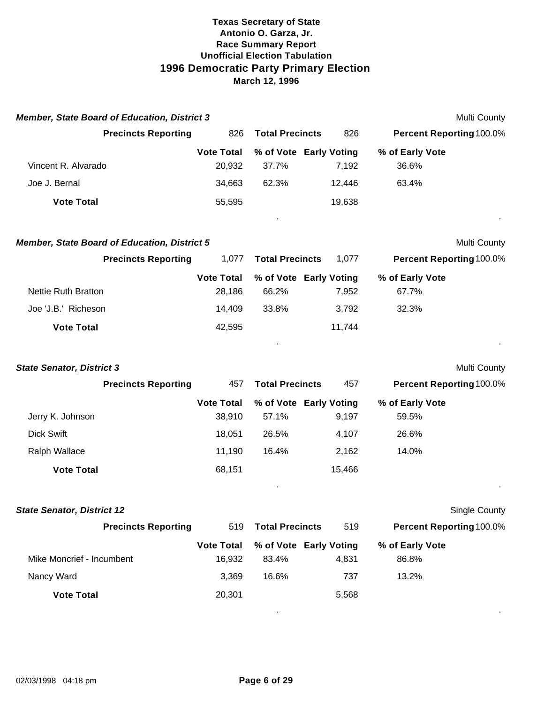| <b>Member, State Board of Education, District 3</b>                               |                                       |                                          | Multi County                                                    |
|-----------------------------------------------------------------------------------|---------------------------------------|------------------------------------------|-----------------------------------------------------------------|
| <b>Precincts Reporting</b>                                                        | 826                                   | <b>Total Precincts</b>                   | 826<br>Percent Reporting 100.0%                                 |
| Vincent R. Alvarado<br>Joe J. Bernal                                              | <b>Vote Total</b><br>20,932<br>34,663 | % of Vote Early Voting<br>37.7%<br>62.3% | % of Early Vote<br>7,192<br>36.6%<br>63.4%<br>12,446            |
| <b>Vote Total</b>                                                                 | 55,595                                |                                          | 19,638                                                          |
| <b>Member, State Board of Education, District 5</b><br><b>Precincts Reporting</b> | 1,077                                 | <b>Total Precincts</b>                   | <b>Multi County</b><br><b>Percent Reporting 100.0%</b><br>1,077 |
|                                                                                   | <b>Vote Total</b>                     | % of Vote Early Voting                   | % of Early Vote                                                 |
| <b>Nettie Ruth Bratton</b>                                                        | 28,186                                | 66.2%                                    | 7,952<br>67.7%                                                  |
| Joe 'J.B.' Richeson                                                               | 14,409                                | 33.8%                                    | 3,792<br>32.3%                                                  |
| <b>Vote Total</b>                                                                 | 42,595                                |                                          | 11,744                                                          |
| <b>State Senator, District 3</b>                                                  |                                       |                                          | Multi County                                                    |
| <b>Precincts Reporting</b>                                                        | 457                                   | <b>Total Precincts</b>                   | 457<br>Percent Reporting 100.0%                                 |
| Jerry K. Johnson                                                                  | <b>Vote Total</b><br>38,910           | % of Vote Early Voting<br>57.1%          | % of Early Vote<br>9,197<br>59.5%                               |
| <b>Dick Swift</b>                                                                 | 18,051                                | 26.5%                                    | 4,107<br>26.6%                                                  |
| Ralph Wallace                                                                     | 11,190                                | 16.4%                                    | 14.0%<br>2,162                                                  |
| <b>Vote Total</b>                                                                 | 68,151                                |                                          | 15,466                                                          |
| <b>State Senator, District 12</b>                                                 |                                       |                                          | Single County                                                   |
| <b>Precincts Reporting</b>                                                        | 519                                   | <b>Total Precincts</b>                   | Percent Reporting 100.0%<br>519                                 |
| Mike Moncrief - Incumbent                                                         | <b>Vote Total</b><br>16,932           | % of Vote Early Voting<br>83.4%          | % of Early Vote<br>86.8%<br>4,831                               |
| Nancy Ward                                                                        | 3,369                                 | 16.6%                                    | 13.2%<br>737                                                    |
| <b>Vote Total</b>                                                                 | 20,301                                |                                          | 5,568                                                           |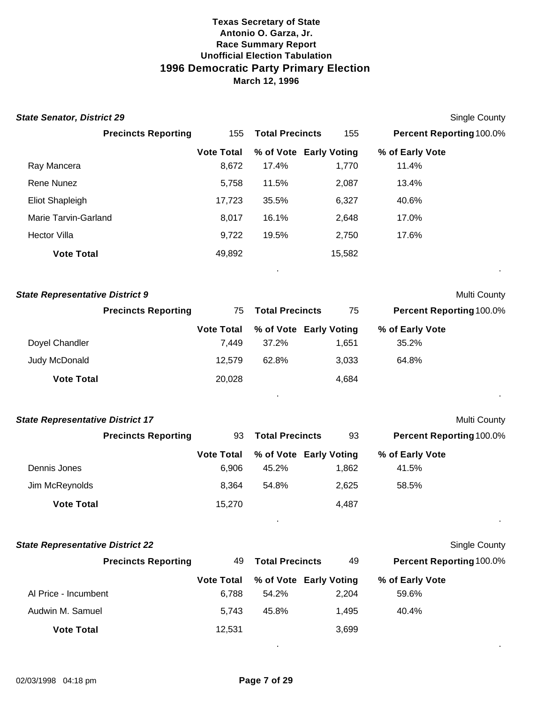| <b>State Senator, District 29</b>       |                   |                        |                        |                          | <b>Single County</b> |
|-----------------------------------------|-------------------|------------------------|------------------------|--------------------------|----------------------|
| <b>Precincts Reporting</b>              | 155               | <b>Total Precincts</b> | 155                    | Percent Reporting 100.0% |                      |
|                                         | <b>Vote Total</b> |                        | % of Vote Early Voting | % of Early Vote          |                      |
| Ray Mancera                             | 8,672             | 17.4%                  | 1,770                  | 11.4%                    |                      |
| Rene Nunez                              | 5,758             | 11.5%                  | 2,087                  | 13.4%                    |                      |
| <b>Eliot Shapleigh</b>                  | 17,723            | 35.5%                  | 6,327                  | 40.6%                    |                      |
| Marie Tarvin-Garland                    | 8,017             | 16.1%                  | 2,648                  | 17.0%                    |                      |
| <b>Hector Villa</b>                     | 9,722             | 19.5%                  | 2,750                  | 17.6%                    |                      |
| <b>Vote Total</b>                       | 49,892            |                        | 15,582                 |                          |                      |
|                                         |                   |                        |                        |                          |                      |
| <b>State Representative District 9</b>  |                   |                        |                        |                          | Multi County         |
| <b>Precincts Reporting</b>              | 75                | <b>Total Precincts</b> | 75                     | Percent Reporting 100.0% |                      |
|                                         | <b>Vote Total</b> |                        | % of Vote Early Voting | % of Early Vote          |                      |
| Doyel Chandler                          | 7,449             | 37.2%                  | 1,651                  | 35.2%                    |                      |
| Judy McDonald                           | 12,579            | 62.8%                  | 3,033                  | 64.8%                    |                      |
| <b>Vote Total</b>                       | 20,028            |                        | 4,684                  |                          |                      |
|                                         |                   |                        |                        |                          |                      |
| <b>State Representative District 17</b> |                   |                        |                        |                          | Multi County         |
| <b>Precincts Reporting</b>              | 93                | <b>Total Precincts</b> | 93                     | Percent Reporting 100.0% |                      |
|                                         | <b>Vote Total</b> |                        | % of Vote Early Voting | % of Early Vote          |                      |
| Dennis Jones                            | 6,906             | 45.2%                  | 1,862                  | 41.5%                    |                      |
| Jim McReynolds                          | 8,364             | 54.8%                  | 2,625                  | 58.5%                    |                      |
| <b>Vote Total</b>                       | 15,270            |                        | 4,487                  |                          |                      |
| <b>State Representative District 22</b> |                   |                        |                        |                          | <b>Single County</b> |
| <b>Precincts Reporting</b>              | 49                | <b>Total Precincts</b> | 49                     | Percent Reporting 100.0% |                      |
|                                         | <b>Vote Total</b> |                        | % of Vote Early Voting | % of Early Vote          |                      |
| Al Price - Incumbent                    | 6,788             | 54.2%                  | 2,204                  | 59.6%                    |                      |
| Audwin M. Samuel                        | 5,743             | 45.8%                  | 1,495                  | 40.4%                    |                      |
| <b>Vote Total</b>                       | 12,531            |                        | 3,699                  |                          |                      |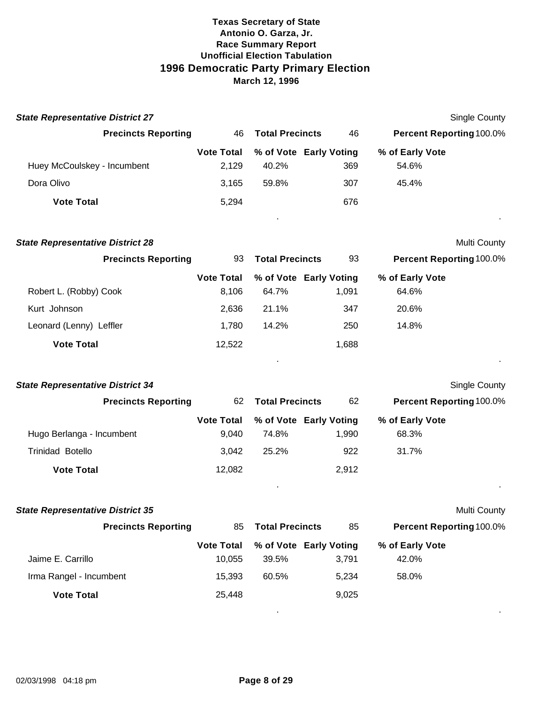| <b>State Representative District 27</b> |                            |                        |                                 |                          | <b>Single County</b>            |
|-----------------------------------------|----------------------------|------------------------|---------------------------------|--------------------------|---------------------------------|
| <b>Precincts Reporting</b>              | 46                         | <b>Total Precincts</b> | 46                              |                          | <b>Percent Reporting 100.0%</b> |
|                                         | <b>Vote Total</b>          |                        | % of Vote Early Voting          | % of Early Vote          |                                 |
| Huey McCoulskey - Incumbent             | 2,129                      | 40.2%                  | 369                             | 54.6%                    |                                 |
| Dora Olivo                              | 3,165                      | 59.8%                  | 307                             | 45.4%                    |                                 |
| <b>Vote Total</b>                       | 5,294                      |                        | 676                             |                          |                                 |
| <b>State Representative District 28</b> |                            |                        |                                 |                          | Multi County                    |
| <b>Precincts Reporting</b>              | 93                         | <b>Total Precincts</b> | 93                              |                          | Percent Reporting 100.0%        |
|                                         | <b>Vote Total</b>          |                        | % of Vote Early Voting          | % of Early Vote          |                                 |
| Robert L. (Robby) Cook                  | 8,106                      | 64.7%                  | 1,091                           | 64.6%                    |                                 |
| Kurt Johnson                            | 2,636                      | 21.1%                  | 347                             | 20.6%                    |                                 |
| Leonard (Lenny) Leffler                 | 1,780                      | 14.2%                  | 250                             | 14.8%                    |                                 |
| <b>Vote Total</b>                       | 12,522                     |                        | 1,688                           |                          |                                 |
| <b>State Representative District 34</b> |                            |                        |                                 |                          | <b>Single County</b>            |
| <b>Precincts Reporting</b>              | 62                         | <b>Total Precincts</b> | 62                              |                          | <b>Percent Reporting 100.0%</b> |
| Hugo Berlanga - Incumbent               | <b>Vote Total</b><br>9,040 | 74.8%                  | % of Vote Early Voting<br>1,990 | % of Early Vote<br>68.3% |                                 |
| <b>Trinidad Botello</b>                 | 3,042                      | 25.2%                  | 922                             | 31.7%                    |                                 |
| <b>Vote Total</b>                       | 12,082                     |                        | 2,912                           |                          |                                 |
| <b>State Representative District 35</b> |                            |                        |                                 |                          | Multi County                    |
| <b>Precincts Reporting</b>              | 85                         | <b>Total Precincts</b> | 85                              |                          | Percent Reporting 100.0%        |
|                                         | <b>Vote Total</b>          |                        | % of Vote Early Voting          | % of Early Vote          |                                 |
| Jaime E. Carrillo                       | 10,055                     | 39.5%                  | 3,791                           | 42.0%                    |                                 |
| Irma Rangel - Incumbent                 | 15,393                     | 60.5%                  | 5,234                           | 58.0%                    |                                 |

. .

**Vote Total** 25,448 9,025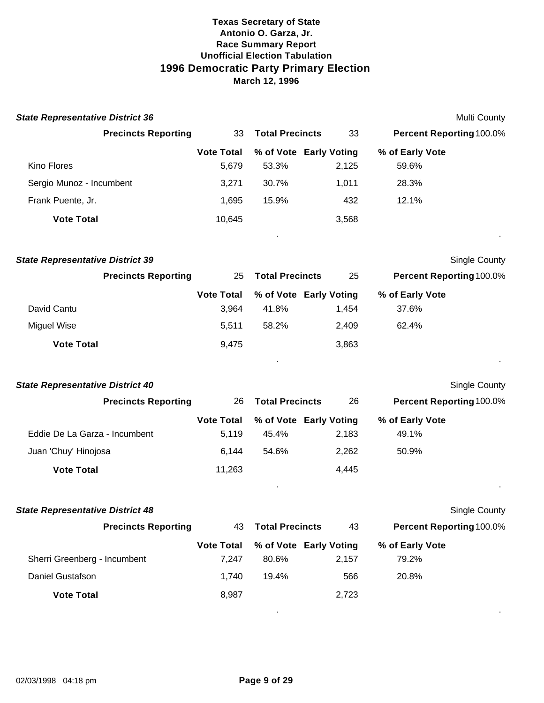| <b>State Representative District 36</b> |                            |                        |                        | Multi County                    |  |
|-----------------------------------------|----------------------------|------------------------|------------------------|---------------------------------|--|
| <b>Precincts Reporting</b>              | 33                         | <b>Total Precincts</b> | 33                     | <b>Percent Reporting 100.0%</b> |  |
|                                         | <b>Vote Total</b>          |                        | % of Vote Early Voting | % of Early Vote                 |  |
| Kino Flores                             | 5,679                      | 53.3%                  | 2,125                  | 59.6%                           |  |
| Sergio Munoz - Incumbent                | 3,271                      | 30.7%                  | 1,011                  | 28.3%                           |  |
| Frank Puente, Jr.                       | 1,695                      | 15.9%                  | 432                    | 12.1%                           |  |
| <b>Vote Total</b>                       | 10,645                     |                        | 3,568                  |                                 |  |
| <b>State Representative District 39</b> |                            |                        |                        | <b>Single County</b>            |  |
| <b>Precincts Reporting</b>              | 25                         | <b>Total Precincts</b> | 25                     | Percent Reporting 100.0%        |  |
| David Cantu                             | <b>Vote Total</b><br>3,964 | 41.8%                  | % of Vote Early Voting | % of Early Vote<br>37.6%        |  |
|                                         |                            |                        | 1,454                  |                                 |  |
| <b>Miguel Wise</b>                      | 5,511                      | 58.2%                  | 2,409                  | 62.4%                           |  |
| <b>Vote Total</b>                       | 9,475                      |                        | 3,863                  |                                 |  |
| <b>State Representative District 40</b> |                            |                        |                        | <b>Single County</b>            |  |
| <b>Precincts Reporting</b>              | 26                         | <b>Total Precincts</b> | 26                     | Percent Reporting 100.0%        |  |
|                                         | <b>Vote Total</b>          |                        | % of Vote Early Voting | % of Early Vote                 |  |
| Eddie De La Garza - Incumbent           | 5,119                      | 45.4%                  | 2,183                  | 49.1%                           |  |
| Juan 'Chuy' Hinojosa                    | 6,144                      | 54.6%                  | 2,262                  | 50.9%                           |  |
| <b>Vote Total</b>                       | 11,263                     |                        | 4,445                  |                                 |  |
| <b>State Representative District 48</b> |                            |                        |                        | Single County                   |  |
| <b>Precincts Reporting</b>              | 43                         | <b>Total Precincts</b> | 43                     | Percent Reporting 100.0%        |  |
|                                         | <b>Vote Total</b>          |                        | % of Vote Early Voting | % of Early Vote                 |  |
| Sherri Greenberg - Incumbent            | 7,247                      | 80.6%                  | 2,157                  | 79.2%                           |  |
| <b>Daniel Gustafson</b>                 | 1,740                      | 19.4%                  | 566                    | 20.8%                           |  |
| <b>Vote Total</b>                       | 8,987                      |                        | 2,723                  |                                 |  |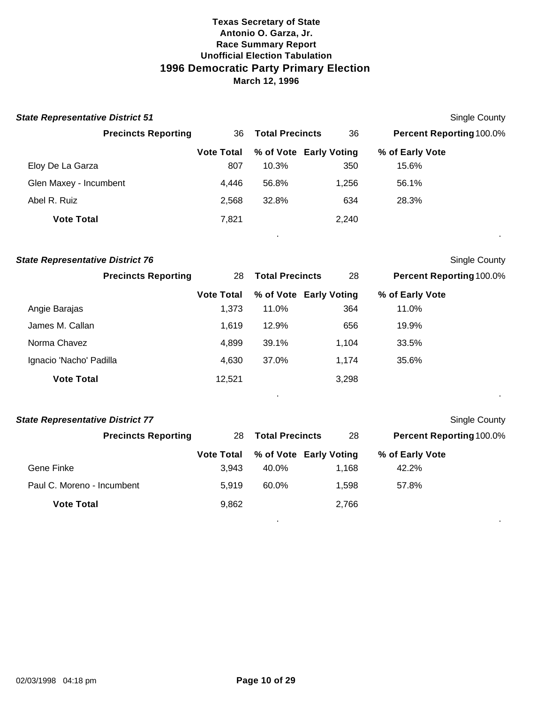| <b>State Representative District 51</b> |                   |                        |                        |                                 | Single County |
|-----------------------------------------|-------------------|------------------------|------------------------|---------------------------------|---------------|
| <b>Precincts Reporting</b>              | 36                | <b>Total Precincts</b> | 36                     | <b>Percent Reporting 100.0%</b> |               |
|                                         | <b>Vote Total</b> |                        | % of Vote Early Voting | % of Early Vote                 |               |
| Eloy De La Garza                        | 807               | 10.3%                  | 350                    | 15.6%                           |               |
| Glen Maxey - Incumbent                  | 4,446             | 56.8%                  | 1,256                  | 56.1%                           |               |
| Abel R. Ruiz                            | 2,568             | 32.8%                  | 634                    | 28.3%                           |               |
| <b>Vote Total</b>                       | 7,821             |                        | 2,240                  |                                 |               |
|                                         |                   |                        |                        |                                 |               |

| <b>State Representative District 76</b> |                   |                        |                        |                                 | Single County |
|-----------------------------------------|-------------------|------------------------|------------------------|---------------------------------|---------------|
| <b>Precincts Reporting</b>              | 28                | <b>Total Precincts</b> | 28                     | <b>Percent Reporting 100.0%</b> |               |
|                                         | <b>Vote Total</b> |                        | % of Vote Early Voting | % of Early Vote                 |               |
| Angie Barajas                           | 1,373             | 11.0%                  | 364                    | 11.0%                           |               |
| James M. Callan                         | 1,619             | 12.9%                  | 656                    | 19.9%                           |               |
| Norma Chavez                            | 4,899             | 39.1%                  | 1.104                  | 33.5%                           |               |
| Ignacio 'Nacho' Padilla                 | 4,630             | 37.0%                  | 1.174                  | 35.6%                           |               |
| <b>Vote Total</b>                       | 12,521            |                        | 3,298                  |                                 |               |

. .

| <b>State Representative District 77</b> |                   |                        |                        | <b>Single County</b>            |  |
|-----------------------------------------|-------------------|------------------------|------------------------|---------------------------------|--|
| <b>Precincts Reporting</b>              | 28                | <b>Total Precincts</b> | 28                     | <b>Percent Reporting 100.0%</b> |  |
|                                         | <b>Vote Total</b> |                        | % of Vote Early Voting | % of Early Vote                 |  |
| Gene Finke                              | 3.943             | 40.0%                  | 1.168                  | 42.2%                           |  |
| Paul C. Moreno - Incumbent              | 5.919             | 60.0%                  | 1.598                  | 57.8%                           |  |
| <b>Vote Total</b>                       | 9,862             |                        | 2,766                  |                                 |  |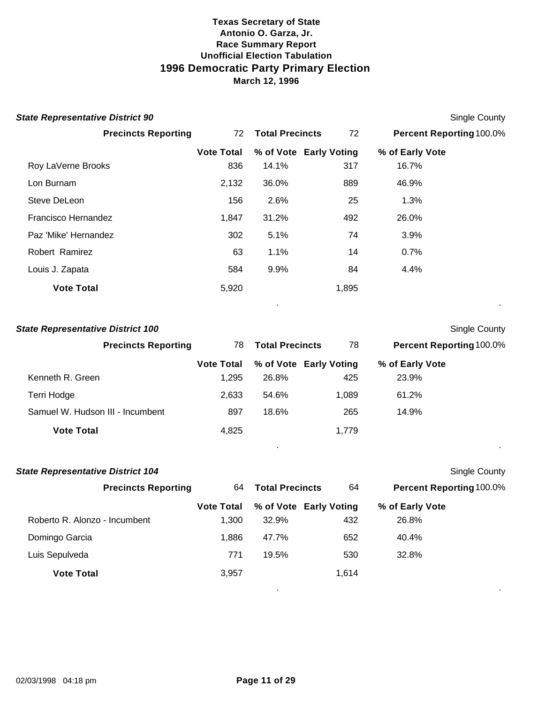| <b>State Representative District 90</b> |                   |                        |                        |                                 | <b>Single County</b> |
|-----------------------------------------|-------------------|------------------------|------------------------|---------------------------------|----------------------|
| <b>Precincts Reporting</b>              | 72                | <b>Total Precincts</b> | 72                     | <b>Percent Reporting 100.0%</b> |                      |
|                                         | <b>Vote Total</b> |                        | % of Vote Early Voting | % of Early Vote                 |                      |
| Roy LaVerne Brooks                      | 836               | 14.1%                  | 317                    | 16.7%                           |                      |
| Lon Burnam                              | 2,132             | 36.0%                  | 889                    | 46.9%                           |                      |
| Steve DeLeon                            | 156               | 2.6%                   | 25                     | 1.3%                            |                      |
| Francisco Hernandez                     | 1,847             | 31.2%                  | 492                    | 26.0%                           |                      |
| Paz 'Mike' Hernandez                    | 302               | 5.1%                   | 74                     | 3.9%                            |                      |
| Robert Ramirez                          | 63                | 1.1%                   | 14                     | 0.7%                            |                      |
| Louis J. Zapata                         | 584               | 9.9%                   | 84                     | 4.4%                            |                      |
| <b>Vote Total</b>                       | 5,920             |                        | 1,895                  |                                 |                      |
|                                         |                   |                        |                        |                                 |                      |

# **State Representative District 100** Single County

| <b>Precincts Reporting</b>       | 78                | <b>Total Precincts</b> | 78                     | <b>Percent Reporting 100.0%</b> |
|----------------------------------|-------------------|------------------------|------------------------|---------------------------------|
|                                  | <b>Vote Total</b> |                        | % of Vote Early Voting | % of Early Vote                 |
| Kenneth R. Green                 | 1.295             | 26.8%                  | 425                    | 23.9%                           |
| Terri Hodge                      | 2.633             | 54.6%                  | 1,089                  | 61.2%                           |
| Samuel W. Hudson III - Incumbent | 897               | 18.6%                  | 265                    | 14.9%                           |
| <b>Vote Total</b>                | 4,825             |                        | 1,779                  |                                 |

| <b>State Representative District 104</b> |                   |                        |                        | <b>Single County</b>     |  |
|------------------------------------------|-------------------|------------------------|------------------------|--------------------------|--|
| <b>Precincts Reporting</b>               | 64                | <b>Total Precincts</b> | 64                     | Percent Reporting 100.0% |  |
|                                          | <b>Vote Total</b> |                        | % of Vote Early Voting | % of Early Vote          |  |
| Roberto R. Alonzo - Incumbent            | 1,300             | 32.9%                  | 432                    | 26.8%                    |  |
| Domingo Garcia                           | 1,886             | 47.7%                  | 652                    | 40.4%                    |  |
| Luis Sepulveda                           | 771               | 19.5%                  | 530                    | 32.8%                    |  |
| <b>Vote Total</b>                        | 3,957             |                        | 1,614                  |                          |  |
|                                          |                   |                        |                        |                          |  |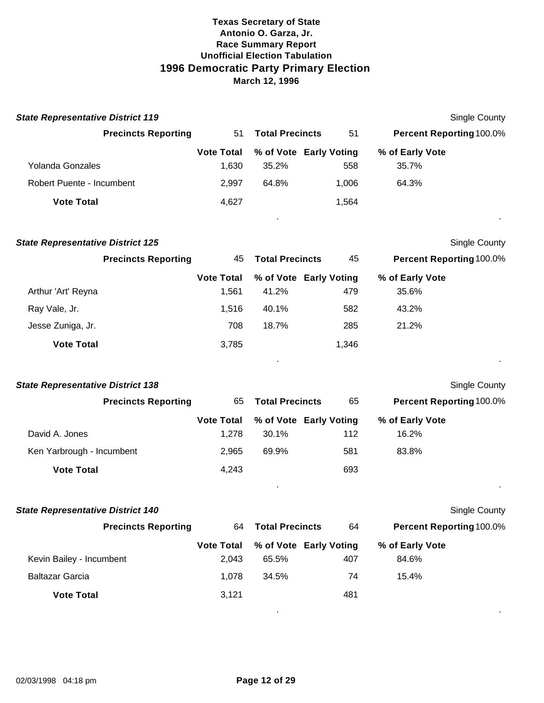| <b>State Representative District 119</b> |                   |                        |                        | Single County                   |                |
|------------------------------------------|-------------------|------------------------|------------------------|---------------------------------|----------------|
| <b>Precincts Reporting</b>               | 51                | <b>Total Precincts</b> | 51                     | <b>Percent Reporting 100.0%</b> |                |
|                                          | <b>Vote Total</b> |                        | % of Vote Early Voting | % of Early Vote                 |                |
| Yolanda Gonzales                         | 1,630             | 35.2%                  | 558                    | 35.7%                           |                |
| Robert Puente - Incumbent                | 2.997             | 64.8%                  | 1.006                  | 64.3%                           |                |
| <b>Vote Total</b>                        | 4,627             |                        | 1.564                  |                                 |                |
|                                          |                   |                        |                        |                                 | $\blacksquare$ |

| <b>State Representative District 125</b> |                            |                   |                        |                        | <b>Single County</b>            |  |
|------------------------------------------|----------------------------|-------------------|------------------------|------------------------|---------------------------------|--|
|                                          | <b>Precincts Reporting</b> | 45                | <b>Total Precincts</b> | 45                     | <b>Percent Reporting 100.0%</b> |  |
|                                          |                            | <b>Vote Total</b> |                        | % of Vote Early Voting | % of Early Vote                 |  |
| Arthur 'Art' Reyna                       |                            | 1,561             | 41.2%                  | 479                    | 35.6%                           |  |
| Ray Vale, Jr.                            |                            | 1,516             | 40.1%                  | 582                    | 43.2%                           |  |
| Jesse Zuniga, Jr.                        |                            | 708               | 18.7%                  | 285                    | 21.2%                           |  |
| <b>Vote Total</b>                        |                            | 3,785             |                        | 1,346                  |                                 |  |
|                                          |                            |                   |                        |                        |                                 |  |

| <b>State Representative District 138</b> |                   |                        |                        | <b>Single County</b>            |  |
|------------------------------------------|-------------------|------------------------|------------------------|---------------------------------|--|
| <b>Precincts Reporting</b>               | 65                | <b>Total Precincts</b> | 65                     | <b>Percent Reporting 100.0%</b> |  |
|                                          | <b>Vote Total</b> |                        | % of Vote Early Voting | % of Early Vote                 |  |
| David A. Jones                           | 1.278             | 30.1%                  | 112                    | 16.2%                           |  |
| Ken Yarbrough - Incumbent                | 2.965             | 69.9%                  | 581                    | 83.8%                           |  |
| <b>Vote Total</b>                        | 4,243             |                        | 693                    |                                 |  |
|                                          |                   |                        |                        |                                 |  |

| <b>State Representative District 140</b> |                   |                        |                        | Single County                   |  |
|------------------------------------------|-------------------|------------------------|------------------------|---------------------------------|--|
| <b>Precincts Reporting</b>               | 64                | <b>Total Precincts</b> | 64                     | <b>Percent Reporting 100.0%</b> |  |
|                                          | <b>Vote Total</b> |                        | % of Vote Early Voting | % of Early Vote                 |  |
| Kevin Bailey - Incumbent                 | 2.043             | 65.5%                  | 407                    | 84.6%                           |  |
| <b>Baltazar Garcia</b>                   | 1,078             | 34.5%                  | 74                     | 15.4%                           |  |
| <b>Vote Total</b>                        | 3.121             |                        | 481                    |                                 |  |
|                                          |                   |                        |                        |                                 |  |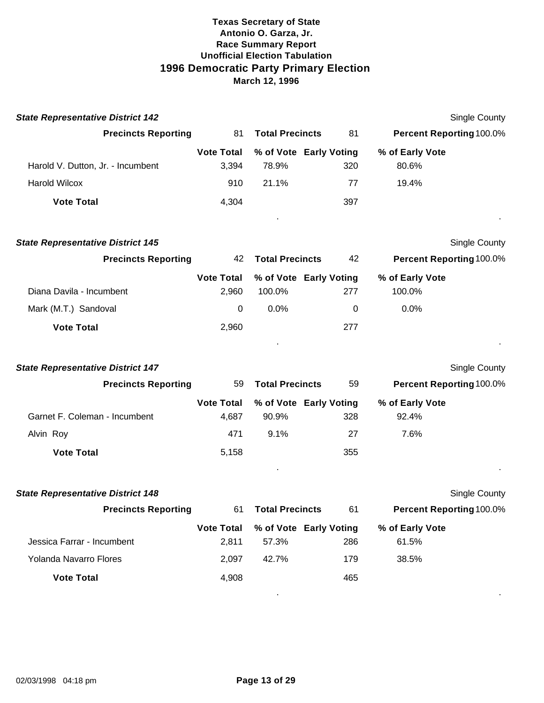| <b>State Representative District 142</b> |                              |       |                        | Single County                   |  |
|------------------------------------------|------------------------------|-------|------------------------|---------------------------------|--|
| <b>Precincts Reporting</b>               | <b>Total Precincts</b><br>81 |       | -81                    | <b>Percent Reporting 100.0%</b> |  |
|                                          | <b>Vote Total</b>            |       | % of Vote Early Voting | % of Early Vote                 |  |
| Harold V. Dutton, Jr. - Incumbent        | 3.394                        | 78.9% | 320                    | 80.6%                           |  |
| <b>Harold Wilcox</b>                     | 910                          | 21.1% | 77                     | 19.4%                           |  |
| <b>Vote Total</b>                        | 4.304                        |       | 397                    |                                 |  |
|                                          |                              |       |                        |                                 |  |

| <b>State Representative District 145</b> |                   |                        |                        |                                 | <b>Single County</b> |
|------------------------------------------|-------------------|------------------------|------------------------|---------------------------------|----------------------|
| <b>Precincts Reporting</b>               | 42                | <b>Total Precincts</b> |                        | <b>Percent Reporting 100.0%</b> |                      |
|                                          | <b>Vote Total</b> |                        | % of Vote Early Voting | % of Early Vote                 |                      |
| Diana Davila - Incumbent                 | 2.960             | 100.0%                 | 277                    | 100.0%                          |                      |
| Mark (M.T.) Sandoval                     | 0                 | $0.0\%$                | 0                      | $0.0\%$                         |                      |
| <b>Vote Total</b>                        | 2,960             |                        | 277                    |                                 |                      |

| <b>State Representative District 147</b> |                              |         |                        | Single County                   |
|------------------------------------------|------------------------------|---------|------------------------|---------------------------------|
| <b>Precincts Reporting</b>               | <b>Total Precincts</b><br>59 |         | 59                     | <b>Percent Reporting 100.0%</b> |
|                                          | <b>Vote Total</b>            |         | % of Vote Early Voting | % of Early Vote                 |
| Garnet F. Coleman - Incumbent            | 4.687                        | 90.9%   | 328                    | 92.4%                           |
| Alvin Roy                                | 471                          | $9.1\%$ | 27                     | 7.6%                            |
| <b>Vote Total</b>                        | 5.158                        |         | 355                    |                                 |
|                                          |                              |         |                        |                                 |

| <b>State Representative District 148</b> |                   |                        |                        | <b>Single County</b>            |  |
|------------------------------------------|-------------------|------------------------|------------------------|---------------------------------|--|
| <b>Precincts Reporting</b>               | 61                | <b>Total Precincts</b> |                        | <b>Percent Reporting 100.0%</b> |  |
|                                          | <b>Vote Total</b> |                        | % of Vote Early Voting | % of Early Vote                 |  |
| Jessica Farrar - Incumbent               | 2.811             | 57.3%                  | 286                    | 61.5%                           |  |
| Yolanda Navarro Flores                   | 2.097             | 42.7%                  | 179                    | 38.5%                           |  |
| <b>Vote Total</b>                        | 4.908             |                        | 465                    |                                 |  |
|                                          |                   |                        |                        |                                 |  |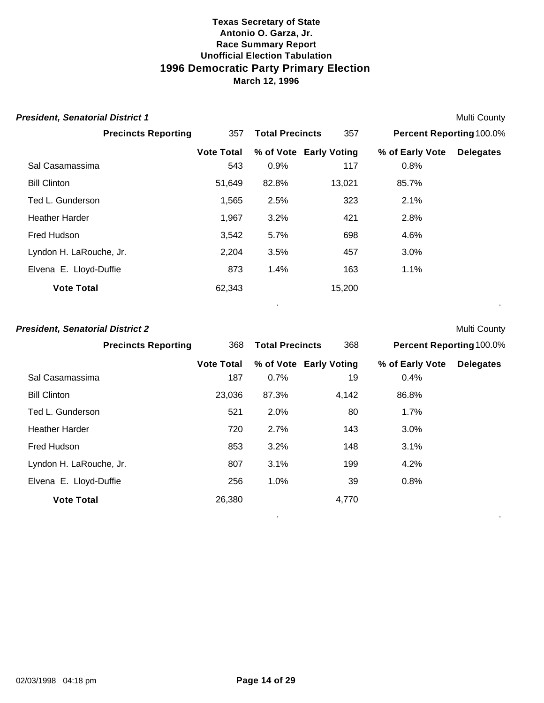| <b>President, Senatorial District 1</b> |                   |                        |                        |                                 | <b>Multi County</b> |
|-----------------------------------------|-------------------|------------------------|------------------------|---------------------------------|---------------------|
| <b>Precincts Reporting</b>              | 357               | <b>Total Precincts</b> | 357                    | <b>Percent Reporting 100.0%</b> |                     |
|                                         | <b>Vote Total</b> |                        | % of Vote Early Voting | % of Early Vote                 | <b>Delegates</b>    |
| Sal Casamassima                         | 543               | 0.9%                   | 117                    | 0.8%                            |                     |
| <b>Bill Clinton</b>                     | 51,649            | 82.8%                  | 13,021                 | 85.7%                           |                     |
| Ted L. Gunderson                        | 1,565             | 2.5%                   | 323                    | 2.1%                            |                     |
| <b>Heather Harder</b>                   | 1,967             | 3.2%                   | 421                    | 2.8%                            |                     |
| Fred Hudson                             | 3,542             | 5.7%                   | 698                    | 4.6%                            |                     |
| Lyndon H. LaRouche, Jr.                 | 2,204             | 3.5%                   | 457                    | 3.0%                            |                     |
| Elvena E. Lloyd-Duffie                  | 873               | 1.4%                   | 163                    | $1.1\%$                         |                     |
| <b>Vote Total</b>                       | 62,343            |                        | 15,200                 |                                 |                     |

. .

. .

#### **President, Senatorial District 2** Multi County

| <b>Precincts Reporting</b> | 368               | <b>Total Precincts</b> | 368                    | <b>Percent Reporting 100.0%</b> |                  |
|----------------------------|-------------------|------------------------|------------------------|---------------------------------|------------------|
|                            | <b>Vote Total</b> |                        | % of Vote Early Voting | % of Early Vote                 | <b>Delegates</b> |
| Sal Casamassima            | 187               | 0.7%                   | 19                     | 0.4%                            |                  |
| <b>Bill Clinton</b>        | 23,036            | 87.3%                  | 4,142                  | 86.8%                           |                  |
| Ted L. Gunderson           | 521               | 2.0%                   | 80                     | 1.7%                            |                  |
| <b>Heather Harder</b>      | 720               | 2.7%                   | 143                    | 3.0%                            |                  |
| Fred Hudson                | 853               | 3.2%                   | 148                    | 3.1%                            |                  |
| Lyndon H. LaRouche, Jr.    | 807               | 3.1%                   | 199                    | 4.2%                            |                  |
| Elvena E. Lloyd-Duffie     | 256               | 1.0%                   | 39                     | 0.8%                            |                  |
| <b>Vote Total</b>          | 26,380            |                        | 4,770                  |                                 |                  |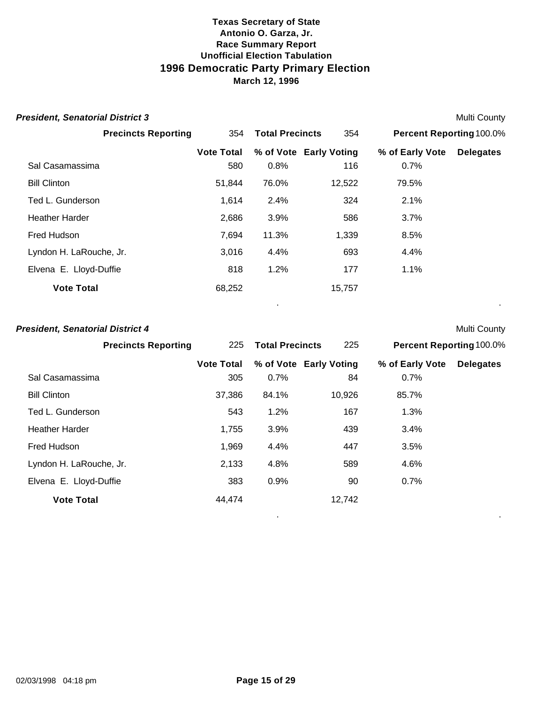| <b>President, Senatorial District 3</b> |                               |       |                        |                          | <b>Multi County</b> |  |
|-----------------------------------------|-------------------------------|-------|------------------------|--------------------------|---------------------|--|
| <b>Precincts Reporting</b>              | <b>Total Precincts</b><br>354 |       | 354                    | Percent Reporting 100.0% |                     |  |
|                                         | <b>Vote Total</b>             |       | % of Vote Early Voting | % of Early Vote          | <b>Delegates</b>    |  |
| Sal Casamassima                         | 580                           | 0.8%  | 116                    | 0.7%                     |                     |  |
| <b>Bill Clinton</b>                     | 51,844                        | 76.0% | 12,522                 | 79.5%                    |                     |  |
| Ted L. Gunderson                        | 1,614                         | 2.4%  | 324                    | 2.1%                     |                     |  |
| <b>Heather Harder</b>                   | 2,686                         | 3.9%  | 586                    | 3.7%                     |                     |  |
| Fred Hudson                             | 7,694                         | 11.3% | 1,339                  | 8.5%                     |                     |  |
| Lyndon H. LaRouche, Jr.                 | 3,016                         | 4.4%  | 693                    | 4.4%                     |                     |  |
| Elvena E. Lloyd-Duffie                  | 818                           | 1.2%  | 177                    | $1.1\%$                  |                     |  |
| <b>Vote Total</b>                       | 68,252                        |       | 15,757                 |                          |                     |  |
|                                         |                               |       |                        |                          |                     |  |

#### **President, Senatorial District 4** Multi County

| <b>Precincts Reporting</b> | 225               | <b>Total Precincts</b> | 225                    | <b>Percent Reporting 100.0%</b> |                  |
|----------------------------|-------------------|------------------------|------------------------|---------------------------------|------------------|
|                            | <b>Vote Total</b> |                        | % of Vote Early Voting | % of Early Vote                 | <b>Delegates</b> |
| Sal Casamassima            | 305               | 0.7%                   | 84                     | 0.7%                            |                  |
| <b>Bill Clinton</b>        | 37,386            | 84.1%                  | 10,926                 | 85.7%                           |                  |
| Ted L. Gunderson           | 543               | 1.2%                   | 167                    | 1.3%                            |                  |
| <b>Heather Harder</b>      | 1,755             | 3.9%                   | 439                    | 3.4%                            |                  |
| Fred Hudson                | 1,969             | 4.4%                   | 447                    | 3.5%                            |                  |
| Lyndon H. LaRouche, Jr.    | 2,133             | 4.8%                   | 589                    | 4.6%                            |                  |
| Elvena E. Lloyd-Duffie     | 383               | 0.9%                   | 90                     | 0.7%                            |                  |
| <b>Vote Total</b>          | 44,474            |                        | 12,742                 |                                 |                  |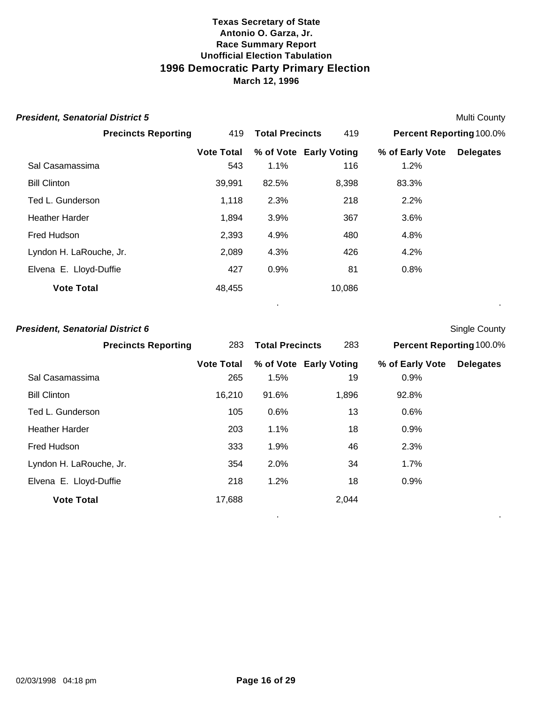| <b>President, Senatorial District 5</b> |                   |                        |                        |                                 | <b>Multi County</b> |
|-----------------------------------------|-------------------|------------------------|------------------------|---------------------------------|---------------------|
| <b>Precincts Reporting</b>              | 419               | <b>Total Precincts</b> | 419                    | <b>Percent Reporting 100.0%</b> |                     |
|                                         | <b>Vote Total</b> |                        | % of Vote Early Voting | % of Early Vote                 | <b>Delegates</b>    |
| Sal Casamassima                         | 543               | 1.1%                   | 116                    | 1.2%                            |                     |
| <b>Bill Clinton</b>                     | 39,991            | 82.5%                  | 8,398                  | 83.3%                           |                     |
| Ted L. Gunderson                        | 1,118             | 2.3%                   | 218                    | 2.2%                            |                     |
| <b>Heather Harder</b>                   | 1,894             | 3.9%                   | 367                    | 3.6%                            |                     |
| Fred Hudson                             | 2,393             | 4.9%                   | 480                    | 4.8%                            |                     |
| Lyndon H. LaRouche, Jr.                 | 2,089             | 4.3%                   | 426                    | 4.2%                            |                     |
| Elvena E. Lloyd-Duffie                  | 427               | 0.9%                   | 81                     | 0.8%                            |                     |
| <b>Vote Total</b>                       | 48,455            |                        | 10,086                 |                                 |                     |
|                                         |                   |                        |                        |                                 |                     |

# **President, Senatorial District 6** Single County

| <b>Precincts Reporting</b> | 283               | <b>Total Precincts</b> | 283                    | <b>Percent Reporting 100.0%</b> |                  |
|----------------------------|-------------------|------------------------|------------------------|---------------------------------|------------------|
|                            | <b>Vote Total</b> |                        | % of Vote Early Voting | % of Early Vote                 | <b>Delegates</b> |
| Sal Casamassima            | 265               | 1.5%                   | 19                     | 0.9%                            |                  |
| <b>Bill Clinton</b>        | 16,210            | 91.6%                  | 1,896                  | 92.8%                           |                  |
| Ted L. Gunderson           | 105               | 0.6%                   | 13                     | 0.6%                            |                  |
| <b>Heather Harder</b>      | 203               | 1.1%                   | 18                     | 0.9%                            |                  |
| Fred Hudson                | 333               | 1.9%                   | 46                     | 2.3%                            |                  |
| Lyndon H. LaRouche, Jr.    | 354               | 2.0%                   | 34                     | 1.7%                            |                  |
| Elvena E. Lloyd-Duffie     | 218               | 1.2%                   | 18                     | 0.9%                            |                  |
| <b>Vote Total</b>          | 17,688            |                        | 2,044                  |                                 |                  |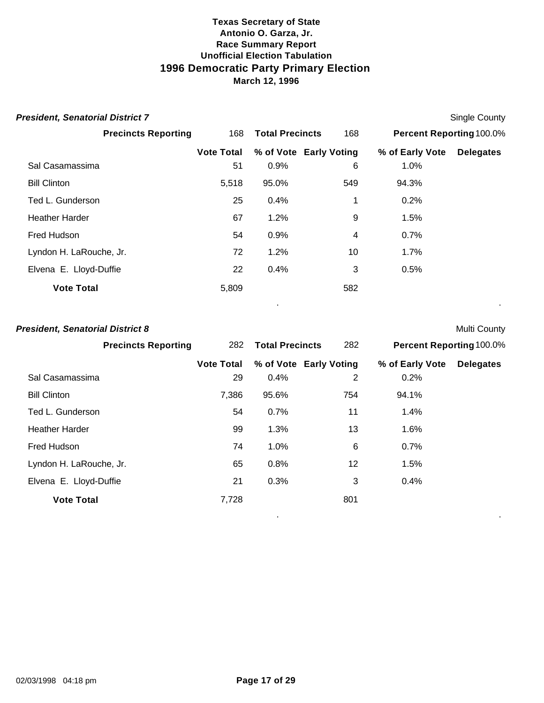| <b>President, Senatorial District 7</b> |                   |                        |                        |                          | <b>Single County</b> |
|-----------------------------------------|-------------------|------------------------|------------------------|--------------------------|----------------------|
| <b>Precincts Reporting</b>              | 168               | <b>Total Precincts</b> | 168                    | Percent Reporting 100.0% |                      |
|                                         | <b>Vote Total</b> |                        | % of Vote Early Voting | % of Early Vote          | <b>Delegates</b>     |
| Sal Casamassima                         | 51                | 0.9%                   | 6                      | 1.0%                     |                      |
| <b>Bill Clinton</b>                     | 5,518             | 95.0%                  | 549                    | 94.3%                    |                      |
| Ted L. Gunderson                        | 25                | 0.4%                   | 1                      | 0.2%                     |                      |
| <b>Heather Harder</b>                   | 67                | 1.2%                   | 9                      | 1.5%                     |                      |
| Fred Hudson                             | 54                | 0.9%                   | 4                      | 0.7%                     |                      |
| Lyndon H. LaRouche, Jr.                 | 72                | 1.2%                   | 10                     | 1.7%                     |                      |
| Elvena E. Lloyd-Duffie                  | 22                | 0.4%                   | 3                      | 0.5%                     |                      |
| <b>Vote Total</b>                       | 5,809             |                        | 582                    |                          |                      |
|                                         |                   |                        |                        |                          |                      |

#### **President, Senatorial District 8** Multi County

| <b>Precincts Reporting</b> |                   | 282 Total Precincts | 282                    |                 | <b>Percent Reporting 100.0%</b> |  |
|----------------------------|-------------------|---------------------|------------------------|-----------------|---------------------------------|--|
|                            | <b>Vote Total</b> |                     | % of Vote Early Voting | % of Early Vote | <b>Delegates</b>                |  |
| Sal Casamassima            | 29                | 0.4%                | 2                      | 0.2%            |                                 |  |
| <b>Bill Clinton</b>        | 7,386             | 95.6%               | 754                    | 94.1%           |                                 |  |
| Ted L. Gunderson           | 54                | 0.7%                | 11                     | 1.4%            |                                 |  |
| <b>Heather Harder</b>      | 99                | 1.3%                | 13                     | 1.6%            |                                 |  |
| Fred Hudson                | 74                | 1.0%                | 6                      | 0.7%            |                                 |  |
| Lyndon H. LaRouche, Jr.    | 65                | 0.8%                | 12                     | 1.5%            |                                 |  |
| Elvena E. Lloyd-Duffie     | 21                | 0.3%                | 3                      | 0.4%            |                                 |  |
| <b>Vote Total</b>          | 7,728             |                     | 801                    |                 |                                 |  |

. .

02/03/1998 04:18 pm **Page 17 of 29**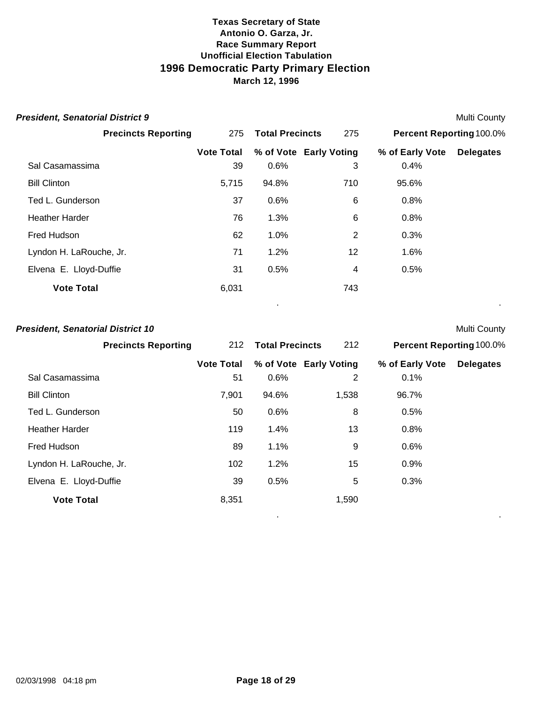| <b>President, Senatorial District 9</b> |                   |                        |                        |                          | <b>Multi County</b> |
|-----------------------------------------|-------------------|------------------------|------------------------|--------------------------|---------------------|
| <b>Precincts Reporting</b>              | 275               | <b>Total Precincts</b> | 275                    | Percent Reporting 100.0% |                     |
|                                         | <b>Vote Total</b> |                        | % of Vote Early Voting | % of Early Vote          | <b>Delegates</b>    |
| Sal Casamassima                         | 39                | 0.6%                   | 3                      | 0.4%                     |                     |
| <b>Bill Clinton</b>                     | 5,715             | 94.8%                  | 710                    | 95.6%                    |                     |
| Ted L. Gunderson                        | 37                | 0.6%                   | 6                      | 0.8%                     |                     |
| <b>Heather Harder</b>                   | 76                | 1.3%                   | $\,6$                  | 0.8%                     |                     |
| Fred Hudson                             | 62                | 1.0%                   | $\overline{2}$         | 0.3%                     |                     |
| Lyndon H. LaRouche, Jr.                 | 71                | 1.2%                   | 12                     | 1.6%                     |                     |
| Elvena E. Lloyd-Duffie                  | 31                | 0.5%                   | 4                      | 0.5%                     |                     |
| <b>Vote Total</b>                       | 6,031             |                        | 743                    |                          |                     |
|                                         |                   |                        |                        |                          |                     |

### **President, Senatorial District 10** Multi County

| <b>Precincts Reporting</b> |                   | 212 Total Precincts | 212                    |                 | <b>Percent Reporting 100.0%</b> |  |
|----------------------------|-------------------|---------------------|------------------------|-----------------|---------------------------------|--|
|                            | <b>Vote Total</b> |                     | % of Vote Early Voting | % of Early Vote | <b>Delegates</b>                |  |
| Sal Casamassima            | 51                | 0.6%                | 2                      | 0.1%            |                                 |  |
| <b>Bill Clinton</b>        | 7,901             | 94.6%               | 1,538                  | 96.7%           |                                 |  |
| Ted L. Gunderson           | 50                | 0.6%                | 8                      | 0.5%            |                                 |  |
| <b>Heather Harder</b>      | 119               | 1.4%                | 13                     | 0.8%            |                                 |  |
| Fred Hudson                | 89                | 1.1%                | 9                      | 0.6%            |                                 |  |
| Lyndon H. LaRouche, Jr.    | 102               | 1.2%                | 15                     | 0.9%            |                                 |  |
| Elvena E. Lloyd-Duffie     | 39                | 0.5%                | 5                      | 0.3%            |                                 |  |
| <b>Vote Total</b>          | 8,351             |                     | 1,590                  |                 |                                 |  |

. .

02/03/1998 04:18 pm **Page 18 of 29**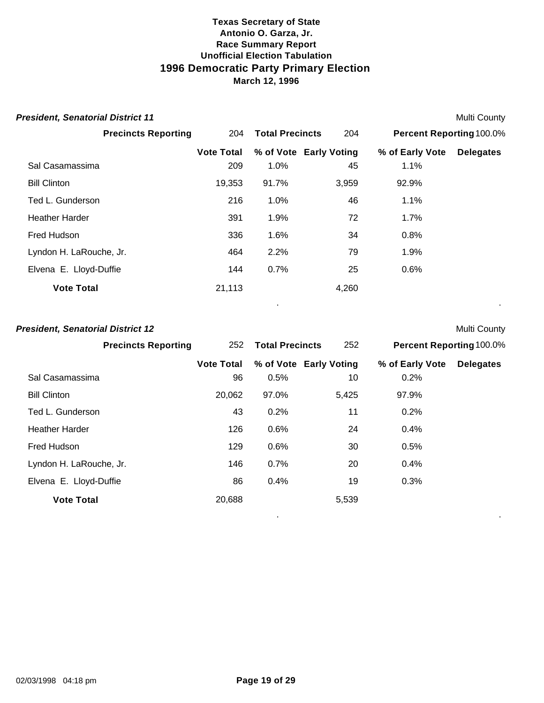| <b>President, Senatorial District 11</b> |                   |                        |                        |                          | <b>Multi County</b> |
|------------------------------------------|-------------------|------------------------|------------------------|--------------------------|---------------------|
| <b>Precincts Reporting</b>               | 204               | <b>Total Precincts</b> | 204                    | Percent Reporting 100.0% |                     |
|                                          | <b>Vote Total</b> |                        | % of Vote Early Voting | % of Early Vote          | <b>Delegates</b>    |
| Sal Casamassima                          | 209               | 1.0%                   | 45                     | 1.1%                     |                     |
| <b>Bill Clinton</b>                      | 19,353            | 91.7%                  | 3,959                  | 92.9%                    |                     |
| Ted L. Gunderson                         | 216               | 1.0%                   | 46                     | 1.1%                     |                     |
| <b>Heather Harder</b>                    | 391               | 1.9%                   | 72                     | $1.7\%$                  |                     |
| Fred Hudson                              | 336               | 1.6%                   | 34                     | 0.8%                     |                     |
| Lyndon H. LaRouche, Jr.                  | 464               | 2.2%                   | 79                     | 1.9%                     |                     |
| Elvena E. Lloyd-Duffie                   | 144               | 0.7%                   | 25                     | 0.6%                     |                     |
| <b>Vote Total</b>                        | 21,113            |                        | 4,260                  |                          |                     |
|                                          |                   |                        |                        |                          |                     |

# **President, Senatorial District 12** Multi County

| <b>Precincts Reporting</b> |                   | 252 Total Precincts | 252                    |                 | <b>Percent Reporting 100.0%</b> |  |
|----------------------------|-------------------|---------------------|------------------------|-----------------|---------------------------------|--|
|                            | <b>Vote Total</b> |                     | % of Vote Early Voting | % of Early Vote | <b>Delegates</b>                |  |
| Sal Casamassima            | 96                | 0.5%                | 10                     | 0.2%            |                                 |  |
| <b>Bill Clinton</b>        | 20,062            | 97.0%               | 5,425                  | 97.9%           |                                 |  |
| Ted L. Gunderson           | 43                | 0.2%                | 11                     | 0.2%            |                                 |  |
| <b>Heather Harder</b>      | 126               | 0.6%                | 24                     | 0.4%            |                                 |  |
| Fred Hudson                | 129               | 0.6%                | 30                     | 0.5%            |                                 |  |
| Lyndon H. LaRouche, Jr.    | 146               | 0.7%                | 20                     | 0.4%            |                                 |  |
| Elvena E. Lloyd-Duffie     | 86                | 0.4%                | 19                     | 0.3%            |                                 |  |
| <b>Vote Total</b>          | 20,688            |                     | 5,539                  |                 |                                 |  |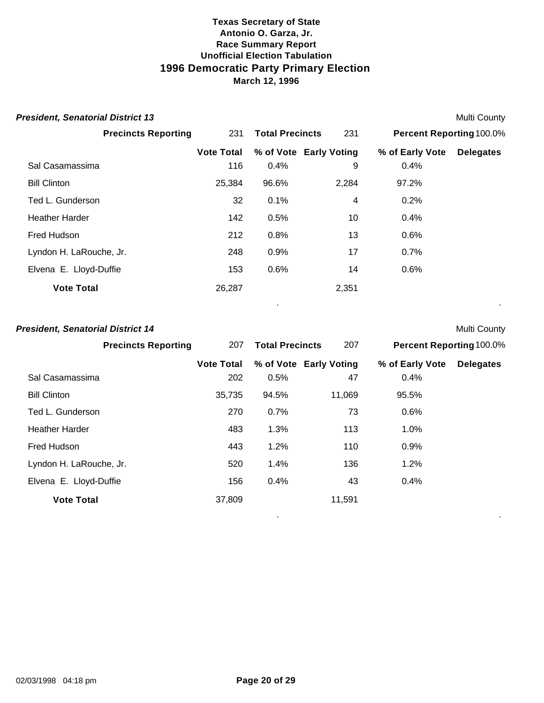| <b>President, Senatorial District 13</b> |                   |                        |                        |                                 | <b>Multi County</b> |
|------------------------------------------|-------------------|------------------------|------------------------|---------------------------------|---------------------|
| <b>Precincts Reporting</b>               | 231               | <b>Total Precincts</b> | 231                    | <b>Percent Reporting 100.0%</b> |                     |
|                                          | <b>Vote Total</b> |                        | % of Vote Early Voting | % of Early Vote                 | <b>Delegates</b>    |
| Sal Casamassima                          | 116               | 0.4%                   | 9                      | 0.4%                            |                     |
| <b>Bill Clinton</b>                      | 25,384            | 96.6%                  | 2,284                  | 97.2%                           |                     |
| Ted L. Gunderson                         | 32                | 0.1%                   | 4                      | 0.2%                            |                     |
| <b>Heather Harder</b>                    | 142               | 0.5%                   | 10                     | 0.4%                            |                     |
| Fred Hudson                              | 212               | 0.8%                   | 13                     | 0.6%                            |                     |
| Lyndon H. LaRouche, Jr.                  | 248               | 0.9%                   | 17                     | 0.7%                            |                     |
| Elvena E. Lloyd-Duffie                   | 153               | 0.6%                   | 14                     | 0.6%                            |                     |
| <b>Vote Total</b>                        | 26,287            |                        | 2,351                  |                                 |                     |

. .

. .

### **President, Senatorial District 14** Multi County

| <b>Precincts Reporting</b> | 207               | <b>Total Precincts</b> | 207                    | <b>Percent Reporting 100.0%</b> |                  |
|----------------------------|-------------------|------------------------|------------------------|---------------------------------|------------------|
|                            | <b>Vote Total</b> |                        | % of Vote Early Voting | % of Early Vote                 | <b>Delegates</b> |
| Sal Casamassima            | 202               | 0.5%                   | 47                     | 0.4%                            |                  |
| <b>Bill Clinton</b>        | 35,735            | 94.5%                  | 11,069                 | 95.5%                           |                  |
| Ted L. Gunderson           | 270               | 0.7%                   | 73                     | 0.6%                            |                  |
| <b>Heather Harder</b>      | 483               | 1.3%                   | 113                    | 1.0%                            |                  |
| Fred Hudson                | 443               | 1.2%                   | 110                    | 0.9%                            |                  |
| Lyndon H. LaRouche, Jr.    | 520               | 1.4%                   | 136                    | 1.2%                            |                  |
| Elvena E. Lloyd-Duffie     | 156               | 0.4%                   | 43                     | 0.4%                            |                  |
| <b>Vote Total</b>          | 37,809            |                        | 11,591                 |                                 |                  |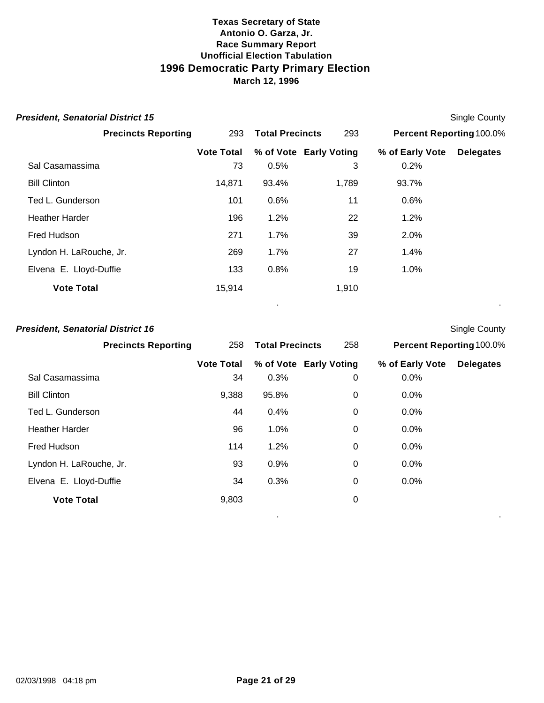| <b>President, Senatorial District 15</b> |                   |                        |                        |                                 | <b>Single County</b> |
|------------------------------------------|-------------------|------------------------|------------------------|---------------------------------|----------------------|
| <b>Precincts Reporting</b>               | 293               | <b>Total Precincts</b> | 293                    | <b>Percent Reporting 100.0%</b> |                      |
|                                          | <b>Vote Total</b> |                        | % of Vote Early Voting | % of Early Vote                 | <b>Delegates</b>     |
| Sal Casamassima                          | 73                | 0.5%                   | 3                      | 0.2%                            |                      |
| <b>Bill Clinton</b>                      | 14,871            | 93.4%                  | 1,789                  | 93.7%                           |                      |
| Ted L. Gunderson                         | 101               | 0.6%                   | 11                     | 0.6%                            |                      |
| <b>Heather Harder</b>                    | 196               | 1.2%                   | 22                     | 1.2%                            |                      |
| Fred Hudson                              | 271               | 1.7%                   | 39                     | 2.0%                            |                      |
| Lyndon H. LaRouche, Jr.                  | 269               | 1.7%                   | 27                     | 1.4%                            |                      |
| Elvena E. Lloyd-Duffie                   | 133               | 0.8%                   | 19                     | 1.0%                            |                      |
| <b>Vote Total</b>                        | 15,914            |                        | 1,910                  |                                 |                      |
|                                          |                   |                        |                        |                                 |                      |

# **President, Senatorial District 16** Single County

| <b>Precincts Reporting</b> | 258               | <b>Total Precincts</b> | 258                    | <b>Percent Reporting 100.0%</b> |                  |
|----------------------------|-------------------|------------------------|------------------------|---------------------------------|------------------|
|                            | <b>Vote Total</b> |                        | % of Vote Early Voting | % of Early Vote                 | <b>Delegates</b> |
| Sal Casamassima            | 34                | 0.3%                   | 0                      | 0.0%                            |                  |
| <b>Bill Clinton</b>        | 9,388             | 95.8%                  | 0                      | 0.0%                            |                  |
| Ted L. Gunderson           | 44                | 0.4%                   | 0                      | 0.0%                            |                  |
| <b>Heather Harder</b>      | 96                | 1.0%                   | 0                      | 0.0%                            |                  |
| Fred Hudson                | 114               | 1.2%                   | 0                      | 0.0%                            |                  |
| Lyndon H. LaRouche, Jr.    | 93                | 0.9%                   | 0                      | 0.0%                            |                  |
| Elvena E. Lloyd-Duffie     | 34                | 0.3%                   | 0                      | 0.0%                            |                  |
| <b>Vote Total</b>          | 9,803             |                        | 0                      |                                 |                  |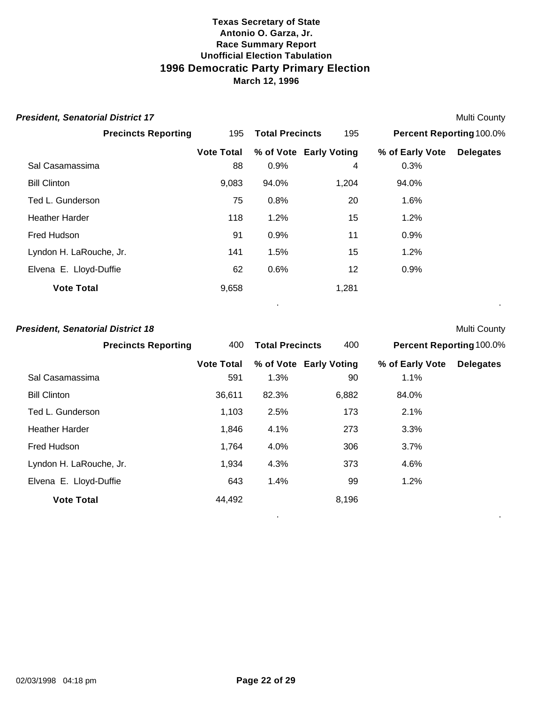| <b>President, Senatorial District 17</b> |                   |                        |                        |                                 | <b>Multi County</b> |
|------------------------------------------|-------------------|------------------------|------------------------|---------------------------------|---------------------|
| <b>Precincts Reporting</b>               | 195               | <b>Total Precincts</b> | 195                    | <b>Percent Reporting 100.0%</b> |                     |
|                                          | <b>Vote Total</b> |                        | % of Vote Early Voting | % of Early Vote                 | <b>Delegates</b>    |
| Sal Casamassima                          | 88                | 0.9%                   | 4                      | 0.3%                            |                     |
| <b>Bill Clinton</b>                      | 9,083             | 94.0%                  | 1,204                  | 94.0%                           |                     |
| Ted L. Gunderson                         | 75                | 0.8%                   | 20                     | 1.6%                            |                     |
| <b>Heather Harder</b>                    | 118               | 1.2%                   | 15                     | 1.2%                            |                     |
| Fred Hudson                              | 91                | 0.9%                   | 11                     | 0.9%                            |                     |
| Lyndon H. LaRouche, Jr.                  | 141               | 1.5%                   | 15                     | 1.2%                            |                     |
| Elvena E. Lloyd-Duffie                   | 62                | 0.6%                   | 12                     | 0.9%                            |                     |
| <b>Vote Total</b>                        | 9,658             |                        | 1,281                  |                                 |                     |
|                                          |                   |                        |                        |                                 |                     |

#### **President, Senatorial District 18** Multi County

| <b>Precincts Reporting</b> | 400               | <b>Total Precincts</b> | 400                    | <b>Percent Reporting 100.0%</b> |                  |
|----------------------------|-------------------|------------------------|------------------------|---------------------------------|------------------|
|                            | <b>Vote Total</b> |                        | % of Vote Early Voting | % of Early Vote                 | <b>Delegates</b> |
| Sal Casamassima            | 591               | 1.3%                   | 90                     | 1.1%                            |                  |
| <b>Bill Clinton</b>        | 36,611            | 82.3%                  | 6,882                  | 84.0%                           |                  |
| Ted L. Gunderson           | 1,103             | 2.5%                   | 173                    | 2.1%                            |                  |
| <b>Heather Harder</b>      | 1,846             | 4.1%                   | 273                    | 3.3%                            |                  |
| Fred Hudson                | 1,764             | 4.0%                   | 306                    | 3.7%                            |                  |
| Lyndon H. LaRouche, Jr.    | 1,934             | 4.3%                   | 373                    | 4.6%                            |                  |
| Elvena E. Lloyd-Duffie     | 643               | 1.4%                   | 99                     | 1.2%                            |                  |
| <b>Vote Total</b>          | 44,492            |                        | 8,196                  |                                 |                  |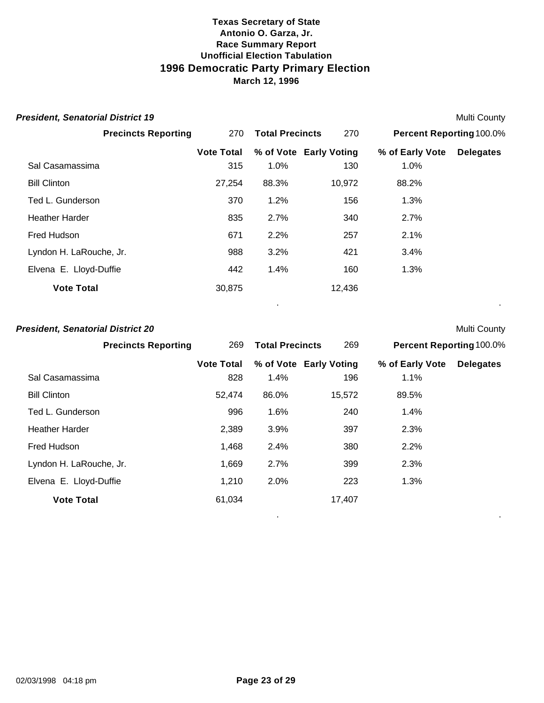| <b>President, Senatorial District 19</b> |                   |                        |                        |                                 | <b>Multi County</b> |
|------------------------------------------|-------------------|------------------------|------------------------|---------------------------------|---------------------|
| <b>Precincts Reporting</b>               | 270               | <b>Total Precincts</b> | 270                    | <b>Percent Reporting 100.0%</b> |                     |
|                                          | <b>Vote Total</b> |                        | % of Vote Early Voting | % of Early Vote                 | <b>Delegates</b>    |
| Sal Casamassima                          | 315               | 1.0%                   | 130                    | 1.0%                            |                     |
| <b>Bill Clinton</b>                      | 27,254            | 88.3%                  | 10,972                 | 88.2%                           |                     |
| Ted L. Gunderson                         | 370               | 1.2%                   | 156                    | 1.3%                            |                     |
| <b>Heather Harder</b>                    | 835               | 2.7%                   | 340                    | 2.7%                            |                     |
| Fred Hudson                              | 671               | 2.2%                   | 257                    | 2.1%                            |                     |
| Lyndon H. LaRouche, Jr.                  | 988               | 3.2%                   | 421                    | 3.4%                            |                     |
| Elvena E. Lloyd-Duffie                   | 442               | 1.4%                   | 160                    | 1.3%                            |                     |
| <b>Vote Total</b>                        | 30,875            |                        | 12,436                 |                                 |                     |

. .

. .

# **President, Senatorial District 20** Multi County

| <b>Precincts Reporting</b> | 269               | <b>Total Precincts</b> | 269                    | <b>Percent Reporting 100.0%</b> |                  |
|----------------------------|-------------------|------------------------|------------------------|---------------------------------|------------------|
|                            | <b>Vote Total</b> |                        | % of Vote Early Voting | % of Early Vote                 | <b>Delegates</b> |
| Sal Casamassima            | 828               | 1.4%                   | 196                    | 1.1%                            |                  |
| <b>Bill Clinton</b>        | 52.474            | 86.0%                  | 15,572                 | 89.5%                           |                  |
| Ted L. Gunderson           | 996               | 1.6%                   | 240                    | 1.4%                            |                  |
| <b>Heather Harder</b>      | 2,389             | 3.9%                   | 397                    | 2.3%                            |                  |
| Fred Hudson                | 1,468             | 2.4%                   | 380                    | 2.2%                            |                  |
| Lyndon H. LaRouche, Jr.    | 1,669             | 2.7%                   | 399                    | 2.3%                            |                  |
| Elvena E. Lloyd-Duffie     | 1,210             | 2.0%                   | 223                    | 1.3%                            |                  |
| <b>Vote Total</b>          | 61,034            |                        | 17,407                 |                                 |                  |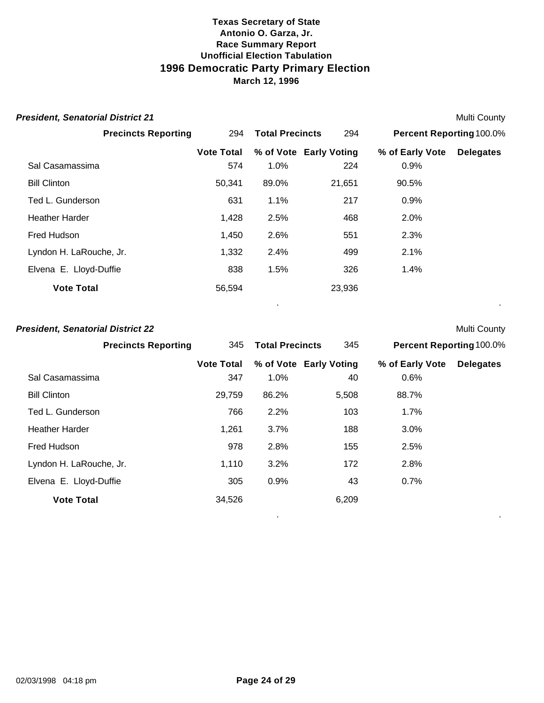| <b>President, Senatorial District 21</b> |                          |                        |                               |                                 | <b>Multi County</b> |
|------------------------------------------|--------------------------|------------------------|-------------------------------|---------------------------------|---------------------|
| <b>Precincts Reporting</b>               | 294                      | <b>Total Precincts</b> | 294                           | <b>Percent Reporting 100.0%</b> |                     |
| Sal Casamassima                          | <b>Vote Total</b><br>574 | 1.0%                   | % of Vote Early Voting<br>224 | % of Early Vote<br>0.9%         | <b>Delegates</b>    |
| <b>Bill Clinton</b>                      | 50,341                   | 89.0%                  | 21,651                        | 90.5%                           |                     |
| Ted L. Gunderson                         | 631                      | 1.1%                   | 217                           | 0.9%                            |                     |
| <b>Heather Harder</b>                    | 1,428                    | 2.5%                   | 468                           | 2.0%                            |                     |
| Fred Hudson                              | 1,450                    | 2.6%                   | 551                           | 2.3%                            |                     |
| Lyndon H. LaRouche, Jr.                  | 1,332                    | 2.4%                   | 499                           | 2.1%                            |                     |
| Elvena E. Lloyd-Duffie                   | 838                      | 1.5%                   | 326                           | $1.4\%$                         |                     |
| <b>Vote Total</b>                        | 56,594                   |                        | 23,936                        |                                 |                     |

. .

. .

#### **President, Senatorial District 22** Multi County

| <b>Precincts Reporting</b> | 345               | <b>Total Precincts</b> | 345                    | <b>Percent Reporting 100.0%</b> |                  |
|----------------------------|-------------------|------------------------|------------------------|---------------------------------|------------------|
|                            | <b>Vote Total</b> |                        | % of Vote Early Voting | % of Early Vote                 | <b>Delegates</b> |
| Sal Casamassima            | 347               | 1.0%                   | 40                     | 0.6%                            |                  |
| <b>Bill Clinton</b>        | 29,759            | 86.2%                  | 5,508                  | 88.7%                           |                  |
| Ted L. Gunderson           | 766               | 2.2%                   | 103                    | 1.7%                            |                  |
| <b>Heather Harder</b>      | 1,261             | 3.7%                   | 188                    | 3.0%                            |                  |
| Fred Hudson                | 978               | 2.8%                   | 155                    | 2.5%                            |                  |
| Lyndon H. LaRouche, Jr.    | 1,110             | 3.2%                   | 172                    | 2.8%                            |                  |
| Elvena E. Lloyd-Duffie     | 305               | 0.9%                   | 43                     | 0.7%                            |                  |
| <b>Vote Total</b>          | 34,526            |                        | 6,209                  |                                 |                  |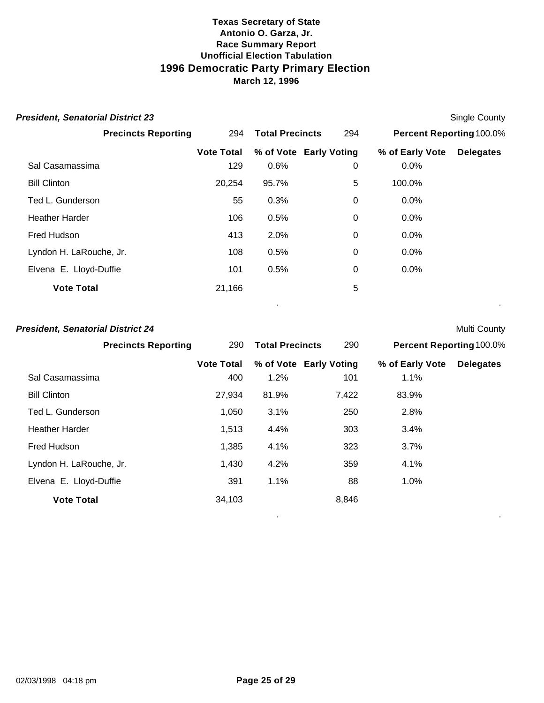| <b>President, Senatorial District 23</b> |                   |                        |                        |                          | <b>Single County</b> |
|------------------------------------------|-------------------|------------------------|------------------------|--------------------------|----------------------|
| <b>Precincts Reporting</b>               | 294               | <b>Total Precincts</b> | 294                    | Percent Reporting 100.0% |                      |
|                                          | <b>Vote Total</b> |                        | % of Vote Early Voting | % of Early Vote          | <b>Delegates</b>     |
| Sal Casamassima                          | 129               | 0.6%                   | 0                      | 0.0%                     |                      |
| <b>Bill Clinton</b>                      | 20,254            | 95.7%                  | 5                      | 100.0%                   |                      |
| Ted L. Gunderson                         | 55                | 0.3%                   | 0                      | 0.0%                     |                      |
| <b>Heather Harder</b>                    | 106               | 0.5%                   | 0                      | $0.0\%$                  |                      |
| Fred Hudson                              | 413               | 2.0%                   | 0                      | 0.0%                     |                      |
| Lyndon H. LaRouche, Jr.                  | 108               | 0.5%                   | 0                      | 0.0%                     |                      |
| Elvena E. Lloyd-Duffie                   | 101               | 0.5%                   | 0                      | 0.0%                     |                      |
| <b>Vote Total</b>                        | 21,166            |                        | 5                      |                          |                      |
|                                          |                   |                        |                        |                          |                      |

#### **President, Senatorial District 24** Multi County

| <b>Precincts Reporting</b> | 290               | <b>Total Precincts</b> | 290                    | <b>Percent Reporting 100.0%</b> |                  |
|----------------------------|-------------------|------------------------|------------------------|---------------------------------|------------------|
|                            | <b>Vote Total</b> |                        | % of Vote Early Voting | % of Early Vote                 | <b>Delegates</b> |
| Sal Casamassima            | 400               | 1.2%                   | 101                    | 1.1%                            |                  |
| <b>Bill Clinton</b>        | 27,934            | 81.9%                  | 7,422                  | 83.9%                           |                  |
| Ted L. Gunderson           | 1,050             | 3.1%                   | 250                    | 2.8%                            |                  |
| <b>Heather Harder</b>      | 1,513             | 4.4%                   | 303                    | 3.4%                            |                  |
| Fred Hudson                | 1,385             | 4.1%                   | 323                    | 3.7%                            |                  |
| Lyndon H. LaRouche, Jr.    | 1,430             | 4.2%                   | 359                    | 4.1%                            |                  |
| Elvena E. Lloyd-Duffie     | 391               | 1.1%                   | 88                     | 1.0%                            |                  |
| <b>Vote Total</b>          | 34,103            |                        | 8,846                  |                                 |                  |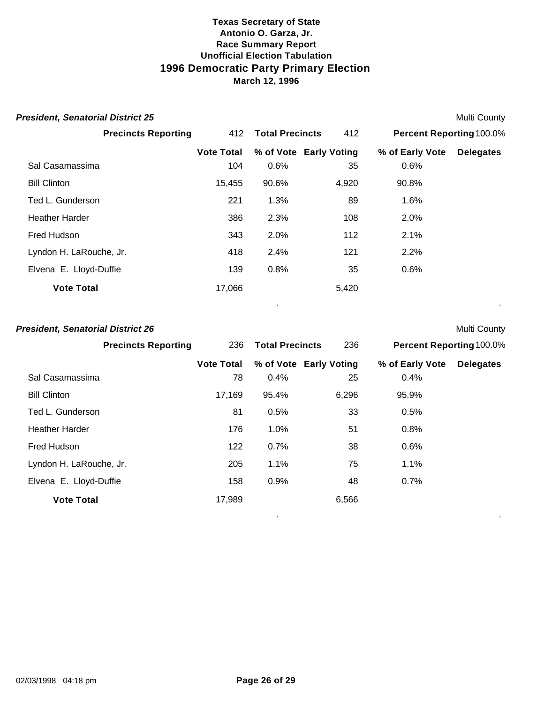| <b>President, Senatorial District 25</b> |                   |                        |                        |                          | <b>Multi County</b> |
|------------------------------------------|-------------------|------------------------|------------------------|--------------------------|---------------------|
| <b>Precincts Reporting</b>               | 412               | <b>Total Precincts</b> | 412                    | Percent Reporting 100.0% |                     |
|                                          | <b>Vote Total</b> |                        | % of Vote Early Voting | % of Early Vote          | <b>Delegates</b>    |
| Sal Casamassima                          | 104               | 0.6%                   | 35                     | 0.6%                     |                     |
| <b>Bill Clinton</b>                      | 15,455            | 90.6%                  | 4,920                  | 90.8%                    |                     |
| Ted L. Gunderson                         | 221               | 1.3%                   | 89                     | 1.6%                     |                     |
| <b>Heather Harder</b>                    | 386               | 2.3%                   | 108                    | 2.0%                     |                     |
| Fred Hudson                              | 343               | 2.0%                   | 112                    | 2.1%                     |                     |
| Lyndon H. LaRouche, Jr.                  | 418               | 2.4%                   | 121                    | 2.2%                     |                     |
| Elvena E. Lloyd-Duffie                   | 139               | 0.8%                   | 35                     | 0.6%                     |                     |
| <b>Vote Total</b>                        | 17,066            |                        | 5,420                  |                          |                     |
|                                          |                   |                        |                        |                          |                     |

#### **President, Senatorial District 26** Multi County

| <b>Precincts Reporting</b> | 236               | <b>Total Precincts</b> | 236                    | <b>Percent Reporting 100.0%</b> |                  |
|----------------------------|-------------------|------------------------|------------------------|---------------------------------|------------------|
|                            | <b>Vote Total</b> |                        | % of Vote Early Voting | % of Early Vote                 | <b>Delegates</b> |
| Sal Casamassima            | 78                | 0.4%                   | 25                     | 0.4%                            |                  |
| <b>Bill Clinton</b>        | 17,169            | 95.4%                  | 6,296                  | 95.9%                           |                  |
| Ted L. Gunderson           | 81                | 0.5%                   | 33                     | 0.5%                            |                  |
| <b>Heather Harder</b>      | 176               | 1.0%                   | 51                     | 0.8%                            |                  |
| Fred Hudson                | 122               | 0.7%                   | 38                     | 0.6%                            |                  |
| Lyndon H. LaRouche, Jr.    | 205               | 1.1%                   | 75                     | 1.1%                            |                  |
| Elvena E. Lloyd-Duffie     | 158               | 0.9%                   | 48                     | 0.7%                            |                  |
| <b>Vote Total</b>          | 17,989            |                        | 6,566                  |                                 |                  |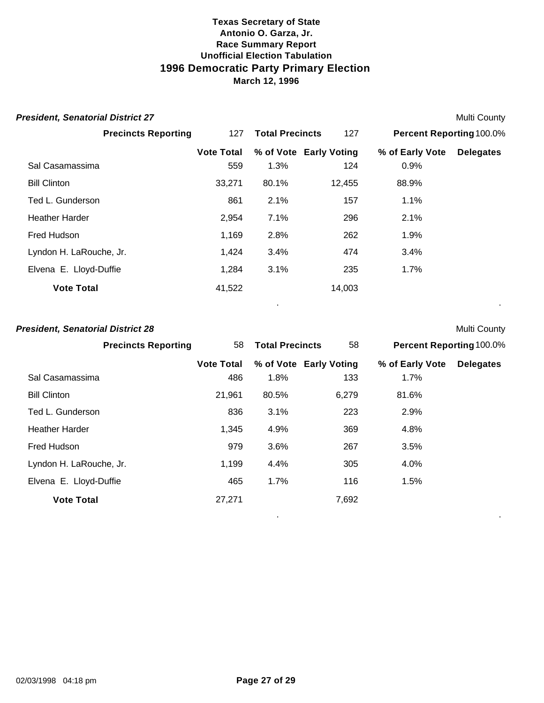| <b>President, Senatorial District 27</b> |                   |                        |                        |                                 | <b>Multi County</b> |
|------------------------------------------|-------------------|------------------------|------------------------|---------------------------------|---------------------|
| <b>Precincts Reporting</b>               | 127               | <b>Total Precincts</b> | 127                    | <b>Percent Reporting 100.0%</b> |                     |
|                                          | <b>Vote Total</b> |                        | % of Vote Early Voting | % of Early Vote                 | <b>Delegates</b>    |
| Sal Casamassima                          | 559               | 1.3%                   | 124                    | 0.9%                            |                     |
| <b>Bill Clinton</b>                      | 33,271            | 80.1%                  | 12,455                 | 88.9%                           |                     |
| Ted L. Gunderson                         | 861               | 2.1%                   | 157                    | $1.1\%$                         |                     |
| <b>Heather Harder</b>                    | 2,954             | 7.1%                   | 296                    | 2.1%                            |                     |
| Fred Hudson                              | 1,169             | 2.8%                   | 262                    | 1.9%                            |                     |
| Lyndon H. LaRouche, Jr.                  | 1,424             | 3.4%                   | 474                    | 3.4%                            |                     |
| Elvena E. Lloyd-Duffie                   | 1,284             | 3.1%                   | 235                    | 1.7%                            |                     |
| <b>Vote Total</b>                        | 41,522            |                        | 14,003                 |                                 |                     |

. .

. .

#### **President, Senatorial District 28** Multi County

| <b>Precincts Reporting</b> | 58                | <b>Total Precincts</b> | 58                     | <b>Percent Reporting 100.0%</b> |                  |
|----------------------------|-------------------|------------------------|------------------------|---------------------------------|------------------|
|                            | <b>Vote Total</b> |                        | % of Vote Early Voting | % of Early Vote                 | <b>Delegates</b> |
| Sal Casamassima            | 486               | 1.8%                   | 133                    | 1.7%                            |                  |
| <b>Bill Clinton</b>        | 21,961            | 80.5%                  | 6,279                  | 81.6%                           |                  |
| Ted L. Gunderson           | 836               | 3.1%                   | 223                    | 2.9%                            |                  |
| <b>Heather Harder</b>      | 1,345             | 4.9%                   | 369                    | 4.8%                            |                  |
| Fred Hudson                | 979               | 3.6%                   | 267                    | 3.5%                            |                  |
| Lyndon H. LaRouche, Jr.    | 1,199             | 4.4%                   | 305                    | 4.0%                            |                  |
| Elvena E. Lloyd-Duffie     | 465               | 1.7%                   | 116                    | 1.5%                            |                  |
| <b>Vote Total</b>          | 27,271            |                        | 7,692                  |                                 |                  |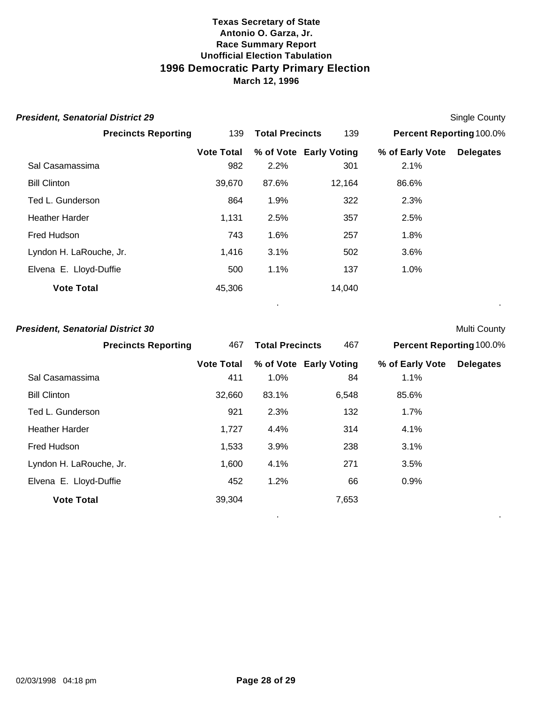| <b>President, Senatorial District 29</b> |                   |                        |                        |                                 | Single County    |
|------------------------------------------|-------------------|------------------------|------------------------|---------------------------------|------------------|
| <b>Precincts Reporting</b>               | 139               | <b>Total Precincts</b> | 139                    | <b>Percent Reporting 100.0%</b> |                  |
|                                          | <b>Vote Total</b> |                        | % of Vote Early Voting | % of Early Vote                 | <b>Delegates</b> |
| Sal Casamassima                          | 982               | 2.2%                   | 301                    | 2.1%                            |                  |
| <b>Bill Clinton</b>                      | 39,670            | 87.6%                  | 12,164                 | 86.6%                           |                  |
| Ted L. Gunderson                         | 864               | 1.9%                   | 322                    | 2.3%                            |                  |
| <b>Heather Harder</b>                    | 1,131             | 2.5%                   | 357                    | 2.5%                            |                  |
| Fred Hudson                              | 743               | 1.6%                   | 257                    | 1.8%                            |                  |
| Lyndon H. LaRouche, Jr.                  | 1,416             | 3.1%                   | 502                    | 3.6%                            |                  |
| Elvena E. Lloyd-Duffie                   | 500               | 1.1%                   | 137                    | 1.0%                            |                  |
| <b>Vote Total</b>                        | 45,306            |                        | 14,040                 |                                 |                  |

. .

. .

#### **President, Senatorial District 30** Multi County

| <b>Precincts Reporting</b> | 467               | <b>Total Precincts</b><br>467<br><b>Percent Reporting 100.0%</b> |                        |                 |                  |
|----------------------------|-------------------|------------------------------------------------------------------|------------------------|-----------------|------------------|
|                            | <b>Vote Total</b> |                                                                  | % of Vote Early Voting | % of Early Vote | <b>Delegates</b> |
| Sal Casamassima            | 411               | 1.0%                                                             | 84                     | 1.1%            |                  |
| <b>Bill Clinton</b>        | 32,660            | 83.1%                                                            | 6,548                  | 85.6%           |                  |
| Ted L. Gunderson           | 921               | 2.3%                                                             | 132                    | 1.7%            |                  |
| <b>Heather Harder</b>      | 1,727             | 4.4%                                                             | 314                    | 4.1%            |                  |
| Fred Hudson                | 1,533             | 3.9%                                                             | 238                    | 3.1%            |                  |
| Lyndon H. LaRouche, Jr.    | 1,600             | 4.1%                                                             | 271                    | 3.5%            |                  |
| Elvena E. Lloyd-Duffie     | 452               | 1.2%                                                             | 66                     | 0.9%            |                  |
| <b>Vote Total</b>          | 39,304            |                                                                  | 7,653                  |                 |                  |